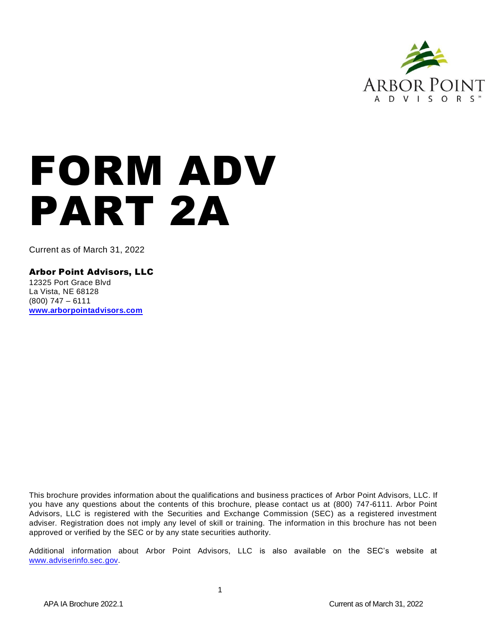

# FORM ADV PART 2A

Current as of March 31, 2022

Arbor Point Advisors, LLC

12325 Port Grace Blvd La Vista, NE 68128 (800) 747 – 6111 **[www.arborpointadvisors.com](http://www.arborpointadvisors.com/)**

This brochure provides information about the qualifications and business practices of Arbor Point Advisors, LLC. If you have any questions about the contents of this brochure, please contact us at (800) 747-6111. Arbor Point Advisors, LLC is registered with the Securities and Exchange Commission (SEC) as a registered investment adviser. Registration does not imply any level of skill or training. The information in this brochure has not been approved or verified by the SEC or by any state securities authority.

Additional information about Arbor Point Advisors, LLC is also available on the SEC's website at [www.adviserinfo.sec.gov.](http://www.adviserinfo.sec.gov/)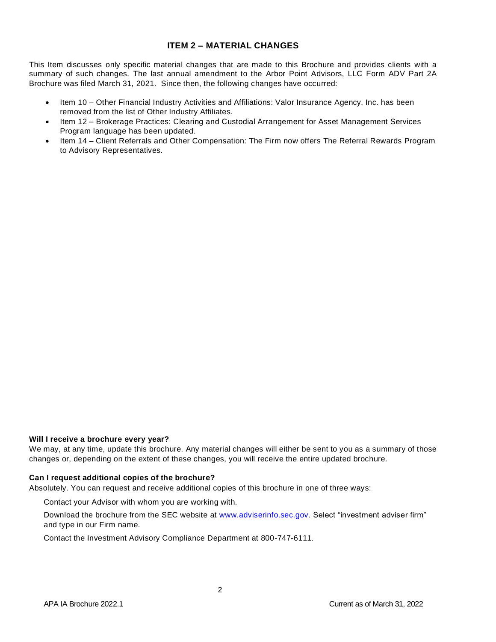# **ITEM 2 – MATERIAL CHANGES**

<span id="page-1-0"></span>This Item discusses only specific material changes that are made to this Brochure and provides clients with a summary of such changes. The last annual amendment to the Arbor Point Advisors, LLC Form ADV Part 2A Brochure was filed March 31, 2021. Since then, the following changes have occurred:

- Item 10 Other Financial Industry Activities and Affiliations: Valor Insurance Agency, Inc. has been removed from the list of Other Industry Affiliates.
- Item 12 Brokerage Practices: Clearing and Custodial Arrangement for Asset Management Services Program language has been updated.
- Item 14 Client Referrals and Other Compensation: The Firm now offers The Referral Rewards Program to Advisory Representatives.

#### **Will I receive a brochure every year?**

We may, at any time, update this brochure. Any material changes will either be sent to you as a summary of those changes or, depending on the extent of these changes, you will receive the entire updated brochure.

#### **Can I request additional copies of the brochure?**

Absolutely. You can request and receive additional copies of this brochure in one of three ways:

Contact your Advisor with whom you are working with.

Download the brochure from the SEC website at [www.adviserinfo.sec.gov.](http://www.adviserinfo.gov/) Select "investment adviser firm" and type in our Firm name.

Contact the Investment Advisory Compliance Department at 800-747-6111.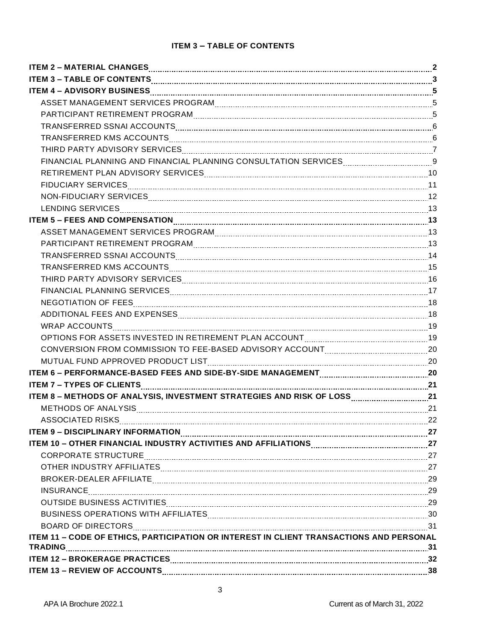# **ITEM 3 – TABLE OF CONTENTS**

<span id="page-2-0"></span>

| ITEM 3 - TABLE OF CONTENTS <b>[100]</b> 17EM 13 - TABLE OF CONTENTS <b>[20] 22 - ACCONTENTS [20] 23</b>                                                                                                                        |  |
|--------------------------------------------------------------------------------------------------------------------------------------------------------------------------------------------------------------------------------|--|
|                                                                                                                                                                                                                                |  |
|                                                                                                                                                                                                                                |  |
|                                                                                                                                                                                                                                |  |
|                                                                                                                                                                                                                                |  |
| TRANSFERRED KMS ACCOUNTS MARIE AND ACCOUNTS AND ACCOUNTS AND ACCOUNTS AND ACCOUNTS AND ACCOUNTS AND ACCOUNTS AN                                                                                                                |  |
|                                                                                                                                                                                                                                |  |
| FINANCIAL PLANNING AND FINANCIAL PLANNING CONSULTATION SERVICES MARKET MANAGEMENT OF                                                                                                                                           |  |
| RETIREMENT PLAN ADVISORY SERVICES [111] 10 [12] THE RETIREMENT PLAN ADVISORY SERVICES [12] 10 [12] THE RETIREMENT PLAN ADVISORY SERVICES [12] THE RETIREMENT PLAN ADVISORY SERVICES [12] THE RETIREMENT PLAN ADVISOR PLAN ADVI |  |
|                                                                                                                                                                                                                                |  |
|                                                                                                                                                                                                                                |  |
|                                                                                                                                                                                                                                |  |
|                                                                                                                                                                                                                                |  |
|                                                                                                                                                                                                                                |  |
|                                                                                                                                                                                                                                |  |
|                                                                                                                                                                                                                                |  |
|                                                                                                                                                                                                                                |  |
| THIRD PARTY ADVISORY SERVICES MALLER CONTINUES AND THIRD PARTY ADVISORY SERVICES                                                                                                                                               |  |
|                                                                                                                                                                                                                                |  |
|                                                                                                                                                                                                                                |  |
|                                                                                                                                                                                                                                |  |
|                                                                                                                                                                                                                                |  |
| OPTIONS FOR ASSETS INVESTED IN RETIREMENT PLAN ACCOUNT MALLET MANUS AND THE 19                                                                                                                                                 |  |
|                                                                                                                                                                                                                                |  |
| MUTUAL FUND APPROVED PRODUCT LIST MARKET MARKET AND TUAL TO APPROVED PRODUCT LIST MARKET MARKET MARKET MARKET MARKET MARKET MARKET MARKET MARKET MARKET MARKET MARKET MARKET MARKET MARKET MARKET MARKET MARKET MARKET MARKET  |  |
|                                                                                                                                                                                                                                |  |
|                                                                                                                                                                                                                                |  |
|                                                                                                                                                                                                                                |  |
| METHODS OF ANALYSIS 21 21                                                                                                                                                                                                      |  |
| ASSOCIATED RISKS 22                                                                                                                                                                                                            |  |
| <b>ITEM 9 - DISCIPLINARY INFORMATION</b>                                                                                                                                                                                       |  |
| ITEM 10 - OTHER FINANCIAL INDUSTRY ACTIVITIES AND AFFILIATIONS MARITED AND THE MATHEM 27                                                                                                                                       |  |
|                                                                                                                                                                                                                                |  |
|                                                                                                                                                                                                                                |  |
| BROKER-DEALER AFFILIATE MARIE AND ACCORDING A SERIES AND THE MARIE ASSESSMENT AND THE MARIE ASSESSMENT AND THE                                                                                                                 |  |
|                                                                                                                                                                                                                                |  |
| OUTSIDE BUSINESS ACTIVITIES MARIE AND ACCORDING THE SUBSECTIVITIES (29                                                                                                                                                         |  |
| BUSINESS OPERATIONS WITH AFFILIATES MARKET AND ACCORDINATION OF THE AFTER SOCIETY AT A SUBSECTION OF THE SUBSECTION OF THE SUBSECTION OF THE SUBSECTION OF THE SUBSECTION OF THE SUBSECTION OF THE SUBSECTION OF THE SUBSECTIO |  |
|                                                                                                                                                                                                                                |  |
| ITEM 11 - CODE OF ETHICS, PARTICIPATION OR INTEREST IN CLIENT TRANSACTIONS AND PERSONAL                                                                                                                                        |  |
|                                                                                                                                                                                                                                |  |
|                                                                                                                                                                                                                                |  |
|                                                                                                                                                                                                                                |  |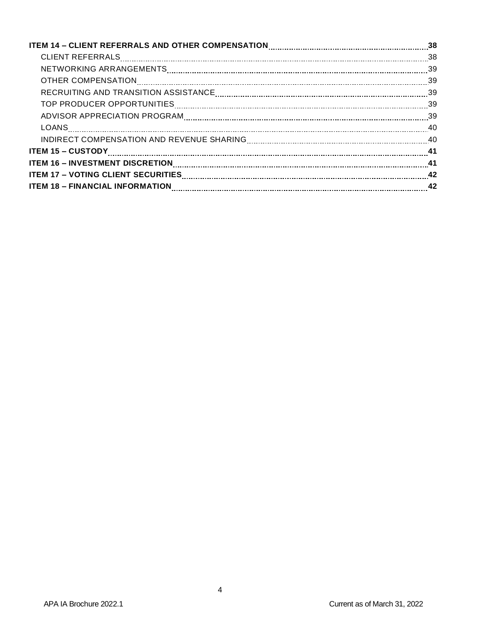| ITEM 16 - INVESTMENT DISCRETION MARIE AND ANNO 16 DETAILS AT 41                                                |  |
|----------------------------------------------------------------------------------------------------------------|--|
|                                                                                                                |  |
| ITEM 18 - FINANCIAL INFORMATION [11] THE MANUSCOPE OF THE MANUSCOPE OF THE MATTER MATTER MANUSCOPE OF THE MANU |  |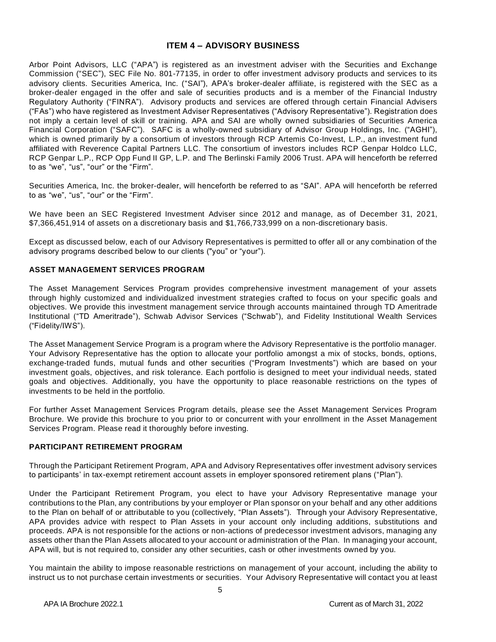## **ITEM 4 – ADVISORY BUSINESS**

<span id="page-4-0"></span>Arbor Point Advisors, LLC ("APA") is registered as an investment adviser with the Securities and Exchange Commission ("SEC"), SEC File No. 801-77135, in order to offer investment advisory products and services to its advisory clients. Securities America, Inc. ("SAI"), APA's broker-dealer affiliate, is registered with the SEC as a broker-dealer engaged in the offer and sale of securities products and is a member of the Financial Industry Regulatory Authority ("FINRA"). Advisory products and services are offered through certain Financial Advisers ("FAs") who have registered as Investment Adviser Representatives ("Advisory Representative"). Registration does not imply a certain level of skill or training. APA and SAI are wholly owned subsidiaries of Securities America Financial Corporation ("SAFC"). SAFC is a wholly-owned subsidiary of Advisor Group Holdings, Inc. ("AGHI"), which is owned primarily by a consortium of investors through RCP Artemis Co-Invest, L.P., an investment fund affiliated with Reverence Capital Partners LLC. The consortium of investors includes RCP Genpar Holdco LLC, RCP Genpar L.P., RCP Opp Fund II GP, L.P. and The Berlinski Family 2006 Trust. APA will henceforth be referred to as "we", "us", "our" or the "Firm".

Securities America, Inc. the broker-dealer, will henceforth be referred to as "SAI". APA will henceforth be referred to as "we", "us", "our" or the "Firm".

We have been an SEC Registered Investment Adviser since 2012 and manage, as of December 31, 2021, \$7,366,451,914 of assets on a discretionary basis and \$1,766,733,999 on a non-discretionary basis.

Except as discussed below, each of our Advisory Representatives is permitted to offer all or any combination of the advisory programs described below to our clients ("you" or "your").

## <span id="page-4-1"></span>**ASSET MANAGEMENT SERVICES PROGRAM**

The Asset Management Services Program provides comprehensive investment management of your assets through highly customized and individualized investment strategies crafted to focus on your specific goals and objectives. We provide this investment management service through accounts maintained through TD Ameritrade Institutional ("TD Ameritrade"), Schwab Advisor Services ("Schwab"), and Fidelity Institutional Wealth Services ("Fidelity/IWS").

The Asset Management Service Program is a program where the Advisory Representative is the portfolio manager. Your Advisory Representative has the option to allocate your portfolio amongst a mix of stocks, bonds, options, exchange-traded funds, mutual funds and other securities ("Program Investments") which are based on your investment goals, objectives, and risk tolerance. Each portfolio is designed to meet your individual needs, stated goals and objectives. Additionally, you have the opportunity to place reasonable restrictions on the types of investments to be held in the portfolio.

For further Asset Management Services Program details, please see the Asset Management Services Program Brochure. We provide this brochure to you prior to or concurrent with your enrollment in the Asset Management Services Program. Please read it thoroughly before investing.

# <span id="page-4-2"></span>**PARTICIPANT RETIREMENT PROGRAM**

Through the Participant Retirement Program, APA and Advisory Representatives offer investment advisory services to participants' in tax-exempt retirement account assets in employer sponsored retirement plans ("Plan").

Under the Participant Retirement Program, you elect to have your Advisory Representative manage your contributions to the Plan, any contributions by your employer or Plan sponsor on your behalf and any other additions to the Plan on behalf of or attributable to you (collectively, "Plan Assets"). Through your Advisory Representative, APA provides advice with respect to Plan Assets in your account only including additions, substitutions and proceeds. APA is not responsible for the actions or non-actions of predecessor investment advisors, managing any assets other than the Plan Assets allocated to your account or administration of the Plan. In managing your account, APA will, but is not required to, consider any other securities, cash or other investments owned by you.

You maintain the ability to impose reasonable restrictions on management of your account, including the ability to instruct us to not purchase certain investments or securities. Your Advisory Representative will contact you at least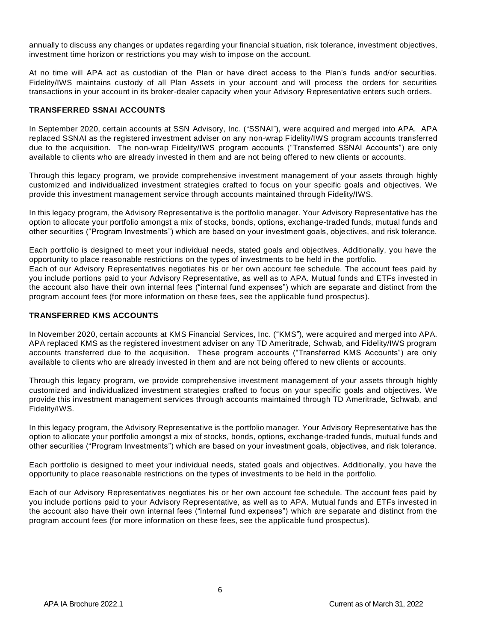annually to discuss any changes or updates regarding your financial situation, risk tolerance, investment objectives, investment time horizon or restrictions you may wish to impose on the account.

At no time will APA act as custodian of the Plan or have direct access to the Plan's funds and/or securities. Fidelity/IWS maintains custody of all Plan Assets in your account and will process the orders for securities transactions in your account in its broker-dealer capacity when your Advisory Representative enters such orders.

#### <span id="page-5-0"></span>**TRANSFERRED SSNAI ACCOUNTS**

In September 2020, certain accounts at SSN Advisory, Inc. ("SSNAI"), were acquired and merged into APA. APA replaced SSNAI as the registered investment adviser on any non-wrap Fidelity/IWS program accounts transferred due to the acquisition. The non-wrap Fidelity/IWS program accounts ("Transferred SSNAI Accounts") are only available to clients who are already invested in them and are not being offered to new clients or accounts.

Through this legacy program, we provide comprehensive investment management of your assets through highly customized and individualized investment strategies crafted to focus on your specific goals and objectives. We provide this investment management service through accounts maintained through Fidelity/IWS.

In this legacy program, the Advisory Representative is the portfolio manager. Your Advisory Representative has the option to allocate your portfolio amongst a mix of stocks, bonds, options, exchange-traded funds, mutual funds and other securities ("Program Investments") which are based on your investment goals, objectives, and risk tolerance.

Each portfolio is designed to meet your individual needs, stated goals and objectives. Additionally, you have the opportunity to place reasonable restrictions on the types of investments to be held in the portfolio. Each of our Advisory Representatives negotiates his or her own account fee schedule. The account fees paid by you include portions paid to your Advisory Representative, as well as to APA. Mutual funds and ETFs invested in the account also have their own internal fees ("internal fund expenses") which are separate and distinct from the program account fees (for more information on these fees, see the applicable fund prospectus).

#### <span id="page-5-1"></span>**TRANSFERRED KMS ACCOUNTS**

In November 2020, certain accounts at KMS Financial Services, Inc. ("KMS"), were acquired and merged into APA. APA replaced KMS as the registered investment adviser on any TD Ameritrade, Schwab, and Fidelity/IWS program accounts transferred due to the acquisition. These program accounts ("Transferred KMS Accounts") are only available to clients who are already invested in them and are not being offered to new clients or accounts.

Through this legacy program, we provide comprehensive investment management of your assets through highly customized and individualized investment strategies crafted to focus on your specific goals and objectives. We provide this investment management services through accounts maintained through TD Ameritrade, Schwab, and Fidelity/IWS.

In this legacy program, the Advisory Representative is the portfolio manager. Your Advisory Representative has the option to allocate your portfolio amongst a mix of stocks, bonds, options, exchange-traded funds, mutual funds and other securities ("Program Investments") which are based on your investment goals, objectives, and risk tolerance.

Each portfolio is designed to meet your individual needs, stated goals and objectives. Additionally, you have the opportunity to place reasonable restrictions on the types of investments to be held in the portfolio.

<span id="page-5-2"></span>Each of our Advisory Representatives negotiates his or her own account fee schedule. The account fees paid by you include portions paid to your Advisory Representative, as well as to APA. Mutual funds and ETFs invested in the account also have their own internal fees ("internal fund expenses") which are separate and distinct from the program account fees (for more information on these fees, see the applicable fund prospectus).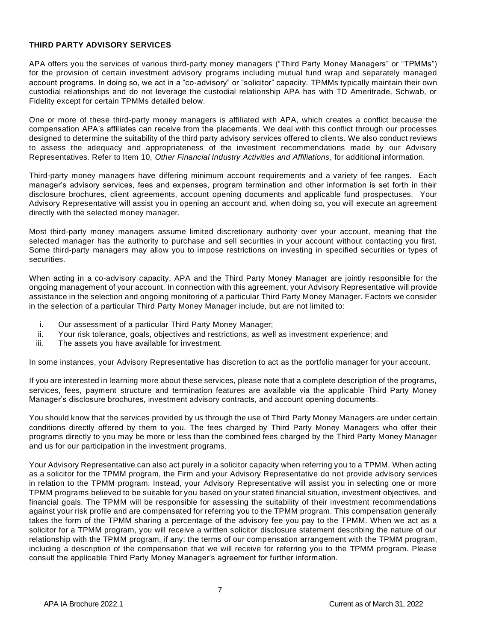#### **THIRD PARTY ADVISORY SERVICES**

APA offers you the services of various third-party money managers ("Third Party Money Managers" or "TPMMs") for the provision of certain investment advisory programs including mutual fund wrap and separately managed account programs. In doing so, we act in a "co-advisory" or "solicitor" capacity. TPMMs typically maintain their own custodial relationships and do not leverage the custodial relationship APA has with TD Ameritrade, Schwab, or Fidelity except for certain TPMMs detailed below.

One or more of these third-party money managers is affiliated with APA, which creates a conflict because the compensation APA's affiliates can receive from the placements. We deal with this conflict through our processes designed to determine the suitability of the third party advisory services offered to clients. We also conduct reviews to assess the adequacy and appropriateness of the investment recommendations made by our Advisory Representatives. Refer to Item 10, *Other Financial Industry Activities and Affiliations*, for additional information.

Third-party money managers have differing minimum account requirements and a variety of fee ranges. Each manager's advisory services, fees and expenses, program termination and other information is set forth in their disclosure brochures, client agreements, account opening documents and applicable fund prospectuses. Your Advisory Representative will assist you in opening an account and, when doing so, you will execute an agreement directly with the selected money manager.

Most third-party money managers assume limited discretionary authority over your account, meaning that the selected manager has the authority to purchase and sell securities in your account without contacting you first. Some third-party managers may allow you to impose restrictions on investing in specified securities or types of securities.

When acting in a co-advisory capacity, APA and the Third Party Money Manager are jointly responsible for the ongoing management of your account. In connection with this agreement, your Advisory Representative will provide assistance in the selection and ongoing monitoring of a particular Third Party Money Manager. Factors we consider in the selection of a particular Third Party Money Manager include, but are not limited to:

- i. Our assessment of a particular Third Party Money Manager;
- ii. Your risk tolerance, goals, objectives and restrictions, as well as investment experience; and
- iii. The assets you have available for investment.

In some instances, your Advisory Representative has discretion to act as the portfolio manager for your account.

If you are interested in learning more about these services, please note that a complete description of the programs, services, fees, payment structure and termination features are available via the applicable Third Party Money Manager's disclosure brochures, investment advisory contracts, and account opening documents.

You should know that the services provided by us through the use of Third Party Money Managers are under certain conditions directly offered by them to you. The fees charged by Third Party Money Managers who offer their programs directly to you may be more or less than the combined fees charged by the Third Party Money Manager and us for our participation in the investment programs.

Your Advisory Representative can also act purely in a solicitor capacity when referring you to a TPMM. When acting as a solicitor for the TPMM program, the Firm and your Advisory Representative do not provide advisory services in relation to the TPMM program. Instead, your Advisory Representative will assist you in selecting one or more TPMM programs believed to be suitable for you based on your stated financial situation, investment objectives, and financial goals. The TPMM will be responsible for assessing the suitability of their investment recommendations against your risk profile and are compensated for referring you to the TPMM program. This compensation generally takes the form of the TPMM sharing a percentage of the advisory fee you pay to the TPMM. When we act as a solicitor for a TPMM program, you will receive a written solicitor disclosure statement describing the nature of our relationship with the TPMM program, if any; the terms of our compensation arrangement with the TPMM program, including a description of the compensation that we will receive for referring you to the TPMM program. Please consult the applicable Third Party Money Manager's agreement for further information.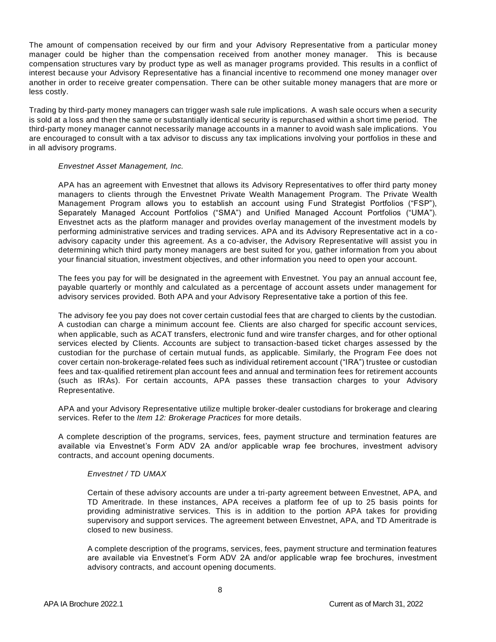The amount of compensation received by our firm and your Advisory Representative from a particular money manager could be higher than the compensation received from another money manager. This is because compensation structures vary by product type as well as manager programs provided. This results in a conflict of interest because your Advisory Representative has a financial incentive to recommend one money manager over another in order to receive greater compensation. There can be other suitable money managers that are more or less costly.

Trading by third-party money managers can trigger wash sale rule implications. A wash sale occurs when a security is sold at a loss and then the same or substantially identical security is repurchased within a short time period. The third-party money manager cannot necessarily manage accounts in a manner to avoid wash sale implications. You are encouraged to consult with a tax advisor to discuss any tax implications involving your portfolios in these and in all advisory programs.

#### *Envestnet Asset Management, Inc.*

APA has an agreement with Envestnet that allows its Advisory Representatives to offer third party money managers to clients through the Envestnet Private Wealth Management Program. The Private Wealth Management Program allows you to establish an account using Fund Strategist Portfolios ("FSP"), Separately Managed Account Portfolios ("SMA") and Unified Managed Account Portfolios ("UMA"). Envestnet acts as the platform manager and provides overlay management of the investment models by performing administrative services and trading services. APA and its Advisory Representative act in a coadvisory capacity under this agreement. As a co-adviser, the Advisory Representative will assist you in determining which third party money managers are best suited for you, gather information from you about your financial situation, investment objectives, and other information you need to open your account.

The fees you pay for will be designated in the agreement with Envestnet. You pay an annual account fee, payable quarterly or monthly and calculated as a percentage of account assets under management for advisory services provided. Both APA and your Advisory Representative take a portion of this fee.

The advisory fee you pay does not cover certain custodial fees that are charged to clients by the custodian. A custodian can charge a minimum account fee. Clients are also charged for specific account services, when applicable, such as ACAT transfers, electronic fund and wire transfer charges, and for other optional services elected by Clients. Accounts are subject to transaction-based ticket charges assessed by the custodian for the purchase of certain mutual funds, as applicable. Similarly, the Program Fee does not cover certain non-brokerage-related fees such as individual retirement account ("IRA") trustee or custodian fees and tax-qualified retirement plan account fees and annual and termination fees for retirement accounts (such as IRAs). For certain accounts, APA passes these transaction charges to your Advisory Representative.

APA and your Advisory Representative utilize multiple broker-dealer custodians for brokerage and clearing services. Refer to the *Item 12: Brokerage Practices* for more details.

A complete description of the programs, services, fees, payment structure and termination features are available via Envestnet's Form ADV 2A and/or applicable wrap fee brochures, investment advisory contracts, and account opening documents.

#### *Envestnet / TD UMAX*

Certain of these advisory accounts are under a tri-party agreement between Envestnet, APA, and TD Ameritrade. In these instances, APA receives a platform fee of up to 25 basis points for providing administrative services. This is in addition to the portion APA takes for providing supervisory and support services. The agreement between Envestnet, APA, and TD Ameritrade is closed to new business.

A complete description of the programs, services, fees, payment structure and termination features are available via Envestnet's Form ADV 2A and/or applicable wrap fee brochures, investment advisory contracts, and account opening documents.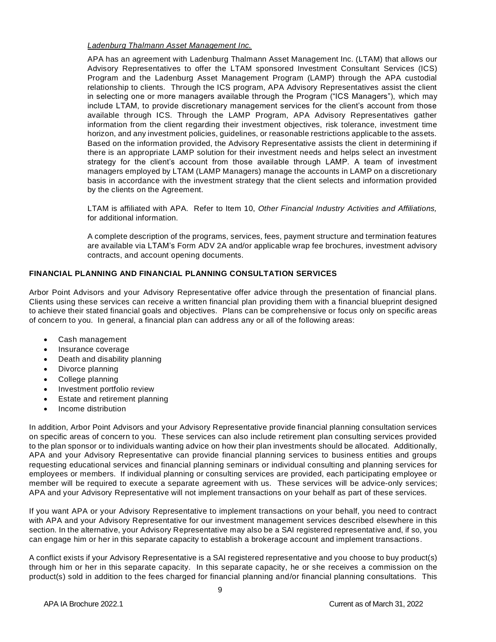## *Ladenburg Thalmann Asset Management Inc.*

APA has an agreement with Ladenburg Thalmann Asset Management Inc. (LTAM) that allows our Advisory Representatives to offer the LTAM sponsored Investment Consultant Services (ICS) Program and the Ladenburg Asset Management Program (LAMP) through the APA custodial relationship to clients. Through the ICS program, APA Advisory Representatives assist the client in selecting one or more managers available through the Program ("ICS Managers"), which may include LTAM, to provide discretionary management services for the client's account from those available through ICS. Through the LAMP Program, APA Advisory Representatives gather information from the client regarding their investment objectives, risk tolerance, investment time horizon, and any investment policies, guidelines, or reasonable restrictions applicable to the assets. Based on the information provided, the Advisory Representative assists the client in determining if there is an appropriate LAMP solution for their investment needs and helps select an investment strategy for the client's account from those available through LAMP. A team of investment managers employed by LTAM (LAMP Managers) manage the accounts in LAMP on a discretionary basis in accordance with the investment strategy that the client selects and information provided by the clients on the Agreement.

LTAM is affiliated with APA. Refer to Item 10, *Other Financial Industry Activities and Affiliations,* for additional information.

A complete description of the programs, services, fees, payment structure and termination features are available via LTAM's Form ADV 2A and/or applicable wrap fee brochures, investment advisory contracts, and account opening documents.

# <span id="page-8-0"></span>**FINANCIAL PLANNING AND FINANCIAL PLANNING CONSULTATION SERVICES**

Arbor Point Advisors and your Advisory Representative offer advice through the presentation of financial plans. Clients using these services can receive a written financial plan providing them with a financial blueprint designed to achieve their stated financial goals and objectives. Plans can be comprehensive or focus only on specific areas of concern to you. In general, a financial plan can address any or all of the following areas:

- Cash management
- Insurance coverage
- Death and disability planning
- Divorce planning
- College planning
- Investment portfolio review
- Estate and retirement planning
- Income distribution

In addition, Arbor Point Advisors and your Advisory Representative provide financial planning consultation services on specific areas of concern to you. These services can also include retirement plan consulting services provided to the plan sponsor or to individuals wanting advice on how their plan investments should be allocated. Additionally, APA and your Advisory Representative can provide financial planning services to business entities and groups requesting educational services and financial planning seminars or individual consulting and planning services for employees or members. If individual planning or consulting services are provided, each participating employee or member will be required to execute a separate agreement with us. These services will be advice-only services; APA and your Advisory Representative will not implement transactions on your behalf as part of these services.

If you want APA or your Advisory Representative to implement transactions on your behalf, you need to contract with APA and your Advisory Representative for our investment management services described elsewhere in this section. In the alternative, your Advisory Representative may also be a SAI registered representative and, if so, you can engage him or her in this separate capacity to establish a brokerage account and implement transactions.

A conflict exists if your Advisory Representative is a SAI registered representative and you choose to buy product(s) through him or her in this separate capacity. In this separate capacity, he or she receives a commission on the product(s) sold in addition to the fees charged for financial planning and/or financial planning consultations. This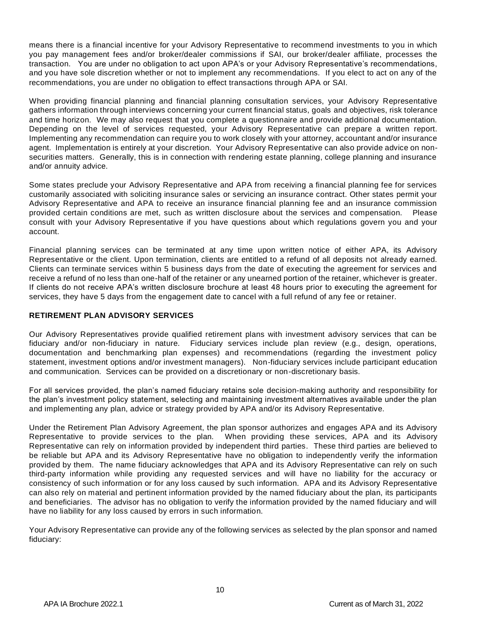means there is a financial incentive for your Advisory Representative to recommend investments to you in which you pay management fees and/or broker/dealer commissions if SAI, our broker/dealer affiliate, processes the transaction. You are under no obligation to act upon APA's or your Advisory Representative's recommendations, and you have sole discretion whether or not to implement any recommendations. If you elect to act on any of the recommendations, you are under no obligation to effect transactions through APA or SAI.

When providing financial planning and financial planning consultation services, your Advisory Representative gathers information through interviews concerning your current financial status, goals and objectives, risk tolerance and time horizon. We may also request that you complete a questionnaire and provide additional documentation. Depending on the level of services requested, your Advisory Representative can prepare a written report. Implementing any recommendation can require you to work closely with your attorney, accountant and/or insurance agent. Implementation is entirely at your discretion. Your Advisory Representative can also provide advice on nonsecurities matters. Generally, this is in connection with rendering estate planning, college planning and insurance and/or annuity advice.

Some states preclude your Advisory Representative and APA from receiving a financial planning fee for services customarily associated with soliciting insurance sales or servicing an insurance contract. Other states permit your Advisory Representative and APA to receive an insurance financial planning fee and an insurance commission provided certain conditions are met, such as written disclosure about the services and compensation. Please consult with your Advisory Representative if you have questions about which regulations govern you and your account.

Financial planning services can be terminated at any time upon written notice of either APA, its Advisory Representative or the client. Upon termination, clients are entitled to a refund of all deposits not already earned. Clients can terminate services within 5 business days from the date of executing the agreement for services and receive a refund of no less than one-half of the retainer or any unearned portion of the retainer, whichever is greater. If clients do not receive APA's written disclosure brochure at least 48 hours prior to executing the agreement for services, they have 5 days from the engagement date to cancel with a full refund of any fee or retainer.

## <span id="page-9-0"></span>**RETIREMENT PLAN ADVISORY SERVICES**

Our Advisory Representatives provide qualified retirement plans with investment advisory services that can be fiduciary and/or non-fiduciary in nature. Fiduciary services include plan review (e.g., design, operations, documentation and benchmarking plan expenses) and recommendations (regarding the investment policy statement, investment options and/or investment managers). Non-fiduciary services include participant education and communication. Services can be provided on a discretionary or non-discretionary basis.

For all services provided, the plan's named fiduciary retains sole decision-making authority and responsibility for the plan's investment policy statement, selecting and maintaining investment alternatives available under the plan and implementing any plan, advice or strategy provided by APA and/or its Advisory Representative.

Under the Retirement Plan Advisory Agreement, the plan sponsor authorizes and engages APA and its Advisory Representative to provide services to the plan. When providing these services, APA and its Advisory Representative can rely on information provided by independent third parties. These third parties are believed to be reliable but APA and its Advisory Representative have no obligation to independently verify the information provided by them. The name fiduciary acknowledges that APA and its Advisory Representative can rely on such third-party information while providing any requested services and will have no liability for the accuracy or consistency of such information or for any loss caused by such information. APA and its Advisory Representative can also rely on material and pertinent information provided by the named fiduciary about the plan, its participants and beneficiaries. The advisor has no obligation to verify the information provided by the named fiduciary and will have no liability for any loss caused by errors in such information.

Your Advisory Representative can provide any of the following services as selected by the plan sponsor and named fiduciary: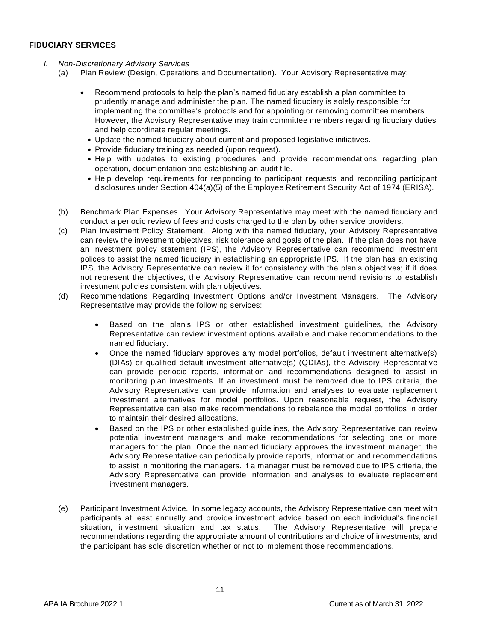#### <span id="page-10-0"></span>**FIDUCIARY SERVICES**

- *I. Non-Discretionary Advisory Services* 
	- (a) Plan Review (Design, Operations and Documentation). Your Advisory Representative may:
		- Recommend protocols to help the plan's named fiduciary establish a plan committee to prudently manage and administer the plan. The named fiduciary is solely responsible for implementing the committee's protocols and for appointing or removing committee members. However, the Advisory Representative may train committee members regarding fiduciary duties and help coordinate regular meetings.
			- Update the named fiduciary about current and proposed legislative initiatives.
			- Provide fiduciary training as needed (upon request).
			- Help with updates to existing procedures and provide recommendations regarding plan operation, documentation and establishing an audit file.
			- Help develop requirements for responding to participant requests and reconciling participant disclosures under Section 404(a)(5) of the Employee Retirement Security Act of 1974 (ERISA).
		- (b) Benchmark Plan Expenses. Your Advisory Representative may meet with the named fiduciary and conduct a periodic review of fees and costs charged to the plan by other service providers.
		- (c) Plan Investment Policy Statement. Along with the named fiduciary, your Advisory Representative can review the investment objectives, risk tolerance and goals of the plan. If the plan does not have an investment policy statement (IPS), the Advisory Representative can recommend investment polices to assist the named fiduciary in establishing an appropriate IPS. If the plan has an existing IPS, the Advisory Representative can review it for consistency with the plan's objectives; if it does not represent the objectives, the Advisory Representative can recommend revisions to establish investment policies consistent with plan objectives.
		- (d) Recommendations Regarding Investment Options and/or Investment Managers. The Advisory Representative may provide the following services:
			- Based on the plan's IPS or other established investment guidelines, the Advisory Representative can review investment options available and make recommendations to the named fiduciary.
			- Once the named fiduciary approves any model portfolios, default investment alternative(s) (DIAs) or qualified default investment alternative(s) (QDIAs), the Advisory Representative can provide periodic reports, information and recommendations designed to assist in monitoring plan investments. If an investment must be removed due to IPS criteria, the Advisory Representative can provide information and analyses to evaluate replacement investment alternatives for model portfolios. Upon reasonable request, the Advisory Representative can also make recommendations to rebalance the model portfolios in order to maintain their desired allocations.
			- Based on the IPS or other established guidelines, the Advisory Representative can review potential investment managers and make recommendations for selecting one or more managers for the plan. Once the named fiduciary approves the investment manager, the Advisory Representative can periodically provide reports, information and recommendations to assist in monitoring the managers. If a manager must be removed due to IPS criteria, the Advisory Representative can provide information and analyses to evaluate replacement investment managers.
		- (e) Participant Investment Advice. In some legacy accounts, the Advisory Representative can meet with participants at least annually and provide investment advice based on each individual's financial situation, investment situation and tax status. The Advisory Representative will prepare recommendations regarding the appropriate amount of contributions and choice of investments, and the participant has sole discretion whether or not to implement those recommendations.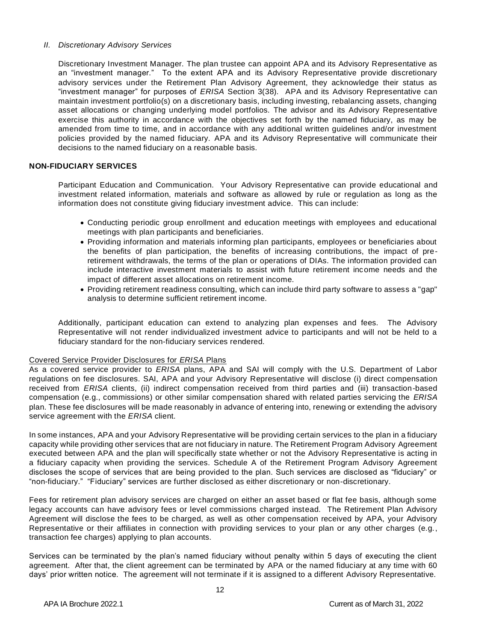#### *II. Discretionary Advisory Services*

Discretionary Investment Manager. The plan trustee can appoint APA and its Advisory Representative as an "investment manager." To the extent APA and its Advisory Representative provide discretionary advisory services under the Retirement Plan Advisory Agreement, they acknowledge their status as "investment manager" for purposes of *ERISA* Section 3(38). APA and its Advisory Representative can maintain investment portfolio(s) on a discretionary basis, including investing, rebalancing assets, changing asset allocations or changing underlying model portfolios. The advisor and its Advisory Representative exercise this authority in accordance with the objectives set forth by the named fiduciary, as may be amended from time to time, and in accordance with any additional written guidelines and/or investment policies provided by the named fiduciary. APA and its Advisory Representative will communicate their decisions to the named fiduciary on a reasonable basis.

## <span id="page-11-0"></span>**NON-FIDUCIARY SERVICES**

Participant Education and Communication. Your Advisory Representative can provide educational and investment related information, materials and software as allowed by rule or regulation as long as the information does not constitute giving fiduciary investment advice. This can include:

- Conducting periodic group enrollment and education meetings with employees and educational meetings with plan participants and beneficiaries.
- Providing information and materials informing plan participants, employees or beneficiaries about the benefits of plan participation, the benefits of increasing contributions, the impact of preretirement withdrawals, the terms of the plan or operations of DIAs. The information provided can include interactive investment materials to assist with future retirement income needs and the impact of different asset allocations on retirement income.
- Providing retirement readiness consulting, which can include third party software to assess a "gap" analysis to determine sufficient retirement income.

Additionally, participant education can extend to analyzing plan expenses and fees. The Advisory Representative will not render individualized investment advice to participants and will not be held to a fiduciary standard for the non-fiduciary services rendered.

## Covered Service Provider Disclosures for *ERISA* Plans

As a covered service provider to *ERISA* plans, APA and SAI will comply with the U.S. Department of Labor regulations on fee disclosures. SAI, APA and your Advisory Representative will disclose (i) direct compensation received from *ERISA* clients, (ii) indirect compensation received from third parties and (iii) transaction-based compensation (e.g., commissions) or other similar compensation shared with related parties servicing the *ERISA* plan. These fee disclosures will be made reasonably in advance of entering into, renewing or extending the advisory service agreement with the *ERISA* client.

In some instances, APA and your Advisory Representative will be providing certain services to the plan in a fiduciary capacity while providing other services that are not fiduciary in nature. The Retirement Program Advisory Agreement executed between APA and the plan will specifically state whether or not the Advisory Representative is acting in a fiduciary capacity when providing the services. Schedule A of the Retirement Program Advisory Agreement discloses the scope of services that are being provided to the plan. Such services are disclosed as "fiduciary" or "non-fiduciary." "Fiduciary" services are further disclosed as either discretionary or non-discretionary.

Fees for retirement plan advisory services are charged on either an asset based or flat fee basis, although some legacy accounts can have advisory fees or level commissions charged instead. The Retirement Plan Advisory Agreement will disclose the fees to be charged, as well as other compensation received by APA, your Advisory Representative or their affiliates in connection with providing services to your plan or any other charges (e.g., transaction fee charges) applying to plan accounts.

Services can be terminated by the plan's named fiduciary without penalty within 5 days of executing the client agreement. After that, the client agreement can be terminated by APA or the named fiduciary at any time with 60 days' prior written notice. The agreement will not terminate if it is assigned to a different Advisory Representative.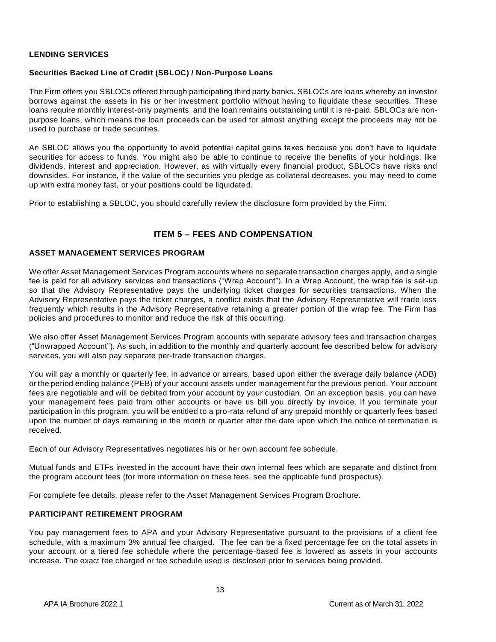## <span id="page-12-0"></span>**LENDING SERVICES**

## **Securities Backed Line of Credit (SBLOC) / Non-Purpose Loans**

The Firm offers you SBLOCs offered through participating third party banks. SBLOCs are loans whereby an investor borrows against the assets in his or her investment portfolio without having to liquidate these securities. These loans require monthly interest-only payments, and the loan remains outstanding until it is re-paid. SBLOCs are nonpurpose loans, which means the loan proceeds can be used for almost anything except the proceeds may not be used to purchase or trade securities.

An SBLOC allows you the opportunity to avoid potential capital gains taxes because you don't have to liquidate securities for access to funds. You might also be able to continue to receive the benefits of your holdings, like dividends, interest and appreciation. However, as with virtually every financial product, SBLOCs have risks and downsides. For instance, if the value of the securities you pledge as collateral decreases, you may need to come up with extra money fast, or your positions could be liquidated.

Prior to establishing a SBLOC, you should carefully review the disclosure form provided by the Firm.

# **ITEM 5 – FEES AND COMPENSATION**

## <span id="page-12-2"></span><span id="page-12-1"></span>**ASSET MANAGEMENT SERVICES PROGRAM**

We offer Asset Management Services Program accounts where no separate transaction charges apply, and a single fee is paid for all advisory services and transactions ("Wrap Account"). In a Wrap Account, the wrap fee is set-up so that the Advisory Representative pays the underlying ticket charges for securities transactions. When the Advisory Representative pays the ticket charges, a conflict exists that the Advisory Representative will trade less frequently which results in the Advisory Representative retaining a greater portion of the wrap fee. The Firm has policies and procedures to monitor and reduce the risk of this occurring.

We also offer Asset Management Services Program accounts with separate advisory fees and transaction charges ("Unwrapped Account"). As such, in addition to the monthly and quarterly account fee described below for advisory services, you will also pay separate per-trade transaction charges.

You will pay a monthly or quarterly fee, in advance or arrears, based upon either the average daily balance (ADB) or the period ending balance (PEB) of your account assets under management for the previous period. Your account fees are negotiable and will be debited from your account by your custodian. On an exception basis, you can have your management fees paid from other accounts or have us bill you directly by invoice. If you terminate your participation in this program, you will be entitled to a pro-rata refund of any prepaid monthly or quarterly fees based upon the number of days remaining in the month or quarter after the date upon which the notice of termination is received.

Each of our Advisory Representatives negotiates his or her own account fee schedule.

Mutual funds and ETFs invested in the account have their own internal fees which are separate and distinct from the program account fees (for more information on these fees, see the applicable fund prospectus).

For complete fee details, please refer to the Asset Management Services Program Brochure.

## <span id="page-12-3"></span>**PARTICIPANT RETIREMENT PROGRAM**

You pay management fees to APA and your Advisory Representative pursuant to the provisions of a client fee schedule, with a maximum 3% annual fee charged. The fee can be a fixed percentage fee on the total assets in your account or a tiered fee schedule where the percentage-based fee is lowered as assets in your accounts increase. The exact fee charged or fee schedule used is disclosed prior to services being provided.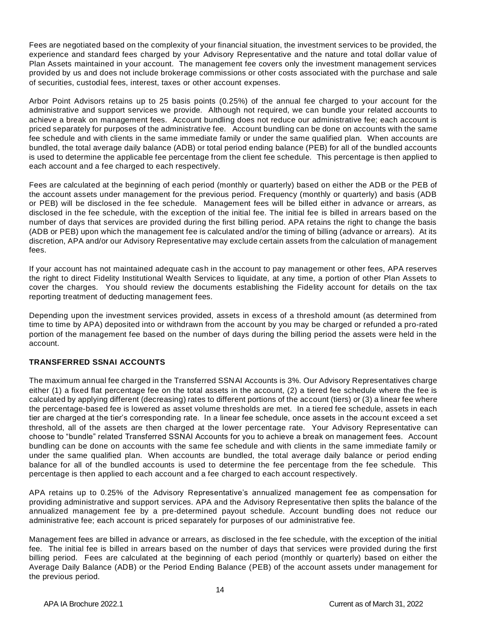Fees are negotiated based on the complexity of your financial situation, the investment services to be provided, the experience and standard fees charged by your Advisory Representative and the nature and total dollar value of Plan Assets maintained in your account. The management fee covers only the investment management services provided by us and does not include brokerage commissions or other costs associated with the purchase and sale of securities, custodial fees, interest, taxes or other account expenses.

Arbor Point Advisors retains up to 25 basis points (0.25%) of the annual fee charged to your account for the administrative and support services we provide. Although not required, we can bundle your related accounts to achieve a break on management fees. Account bundling does not reduce our administrative fee; each account is priced separately for purposes of the administrative fee. Account bundling can be done on accounts with the same fee schedule and with clients in the same immediate family or under the same qualified plan. When accounts are bundled, the total average daily balance (ADB) or total period ending balance (PEB) for all of the bundled accounts is used to determine the applicable fee percentage from the client fee schedule. This percentage is then applied to each account and a fee charged to each respectively.

Fees are calculated at the beginning of each period (monthly or quarterly) based on either the ADB or the PEB of the account assets under management for the previous period. Frequency (monthly or quarterly) and basis (ADB or PEB) will be disclosed in the fee schedule. Management fees will be billed either in advance or arrears, as disclosed in the fee schedule, with the exception of the initial fee. The initial fee is billed in arrears based on the number of days that services are provided during the first billing period. APA retains the right to change the basis (ADB or PEB) upon which the management fee is calculated and/or the timing of billing (advance or arrears). At its discretion, APA and/or our Advisory Representative may exclude certain assets from the calculation of management fees.

If your account has not maintained adequate cash in the account to pay management or other fees, APA reserves the right to direct Fidelity Institutional Wealth Services to liquidate, at any time, a portion of other Plan Assets to cover the charges. You should review the documents establishing the Fidelity account for details on the tax reporting treatment of deducting management fees.

Depending upon the investment services provided, assets in excess of a threshold amount (as determined from time to time by APA) deposited into or withdrawn from the account by you may be charged or refunded a pro-rated portion of the management fee based on the number of days during the billing period the assets were held in the account.

## <span id="page-13-0"></span>**TRANSFERRED SSNAI ACCOUNTS**

The maximum annual fee charged in the Transferred SSNAI Accounts is 3%. Our Advisory Representatives charge either (1) a fixed flat percentage fee on the total assets in the account, (2) a tiered fee schedule where the fee is calculated by applying different (decreasing) rates to different portions of the account (tiers) or (3) a linear fee where the percentage-based fee is lowered as asset volume thresholds are met. In a tiered fee schedule, assets in each tier are charged at the tier's corresponding rate. In a linear fee schedule, once assets in the account exceed a set threshold, all of the assets are then charged at the lower percentage rate. Your Advisory Representative can choose to "bundle" related Transferred SSNAI Accounts for you to achieve a break on management fees. Account bundling can be done on accounts with the same fee schedule and with clients in the same immediate family or under the same qualified plan. When accounts are bundled, the total average daily balance or period ending balance for all of the bundled accounts is used to determine the fee percentage from the fee schedule. This percentage is then applied to each account and a fee charged to each account respectively.

APA retains up to 0.25% of the Advisory Representative's annualized management fee as compensation for providing administrative and support services. APA and the Advisory Representative then splits the balance of the annualized management fee by a pre-determined payout schedule. Account bundling does not reduce our administrative fee; each account is priced separately for purposes of our administrative fee.

Management fees are billed in advance or arrears, as disclosed in the fee schedule, with the exception of the initial fee. The initial fee is billed in arrears based on the number of days that services were provided during the first billing period. Fees are calculated at the beginning of each period (monthly or quarterly) based on either the Average Daily Balance (ADB) or the Period Ending Balance (PEB) of the account assets under management for the previous period.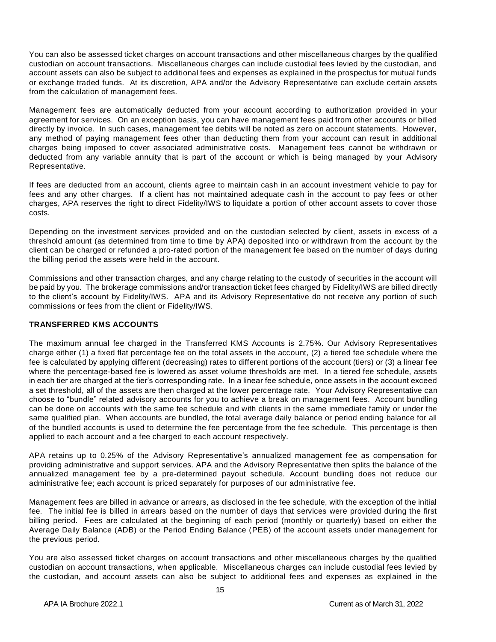You can also be assessed ticket charges on account transactions and other miscellaneous charges by the qualified custodian on account transactions. Miscellaneous charges can include custodial fees levied by the custodian, and account assets can also be subject to additional fees and expenses as explained in the prospectus for mutual funds or exchange traded funds. At its discretion, APA and/or the Advisory Representative can exclude certain assets from the calculation of management fees.

Management fees are automatically deducted from your account according to authorization provided in your agreement for services. On an exception basis, you can have management fees paid from other accounts or billed directly by invoice. In such cases, management fee debits will be noted as zero on account statements. However, any method of paying management fees other than deducting them from your account can result in additional charges being imposed to cover associated administrative costs. Management fees cannot be withdrawn or deducted from any variable annuity that is part of the account or which is being managed by your Advisory Representative.

If fees are deducted from an account, clients agree to maintain cash in an account investment vehicle to pay for fees and any other charges. If a client has not maintained adequate cash in the account to pay fees or ot her charges, APA reserves the right to direct Fidelity/IWS to liquidate a portion of other account assets to cover those costs.

Depending on the investment services provided and on the custodian selected by client, assets in excess of a threshold amount (as determined from time to time by APA) deposited into or withdrawn from the account by the client can be charged or refunded a pro-rated portion of the management fee based on the number of days during the billing period the assets were held in the account.

Commissions and other transaction charges, and any charge relating to the custody of securities in the account will be paid by you. The brokerage commissions and/or transaction ticket fees charged by Fidelity/IWS are billed directly to the client's account by Fidelity/IWS. APA and its Advisory Representative do not receive any portion of such commissions or fees from the client or Fidelity/IWS.

## <span id="page-14-0"></span>**TRANSFERRED KMS ACCOUNTS**

The maximum annual fee charged in the Transferred KMS Accounts is 2.75%. Our Advisory Representatives charge either (1) a fixed flat percentage fee on the total assets in the account, (2) a tiered fee schedule where the fee is calculated by applying different (decreasing) rates to different portions of the account (tiers) or (3) a linear f ee where the percentage-based fee is lowered as asset volume thresholds are met. In a tiered fee schedule, assets in each tier are charged at the tier's corresponding rate. In a linear fee schedule, once assets in the account exceed a set threshold, all of the assets are then charged at the lower percentage rate. Your Advisory Representative can choose to "bundle" related advisory accounts for you to achieve a break on management fees. Account bundling can be done on accounts with the same fee schedule and with clients in the same immediate family or under the same qualified plan. When accounts are bundled, the total average daily balance or period ending balance for all of the bundled accounts is used to determine the fee percentage from the fee schedule. This percentage is then applied to each account and a fee charged to each account respectively.

APA retains up to 0.25% of the Advisory Representative's annualized management fee as compensation for providing administrative and support services. APA and the Advisory Representative then splits the balance of the annualized management fee by a pre-determined payout schedule. Account bundling does not reduce our administrative fee; each account is priced separately for purposes of our administrative fee.

Management fees are billed in advance or arrears, as disclosed in the fee schedule, with the exception of the initial fee. The initial fee is billed in arrears based on the number of days that services were provided during the first billing period. Fees are calculated at the beginning of each period (monthly or quarterly) based on either the Average Daily Balance (ADB) or the Period Ending Balance (PEB) of the account assets under management for the previous period.

You are also assessed ticket charges on account transactions and other miscellaneous charges by the qualified custodian on account transactions, when applicable. Miscellaneous charges can include custodial fees levied by the custodian, and account assets can also be subject to additional fees and expenses as explained in the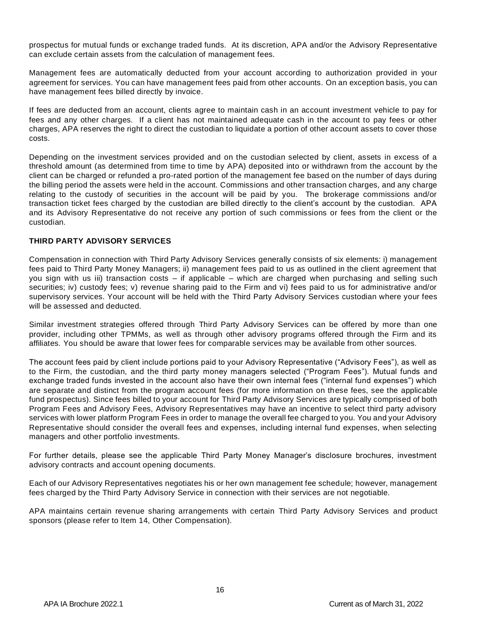prospectus for mutual funds or exchange traded funds. At its discretion, APA and/or the Advisory Representative can exclude certain assets from the calculation of management fees.

Management fees are automatically deducted from your account according to authorization provided in your agreement for services. You can have management fees paid from other accounts. On an exception basis, you can have management fees billed directly by invoice.

If fees are deducted from an account, clients agree to maintain cash in an account investment vehicle to pay for fees and any other charges. If a client has not maintained adequate cash in the account to pay fees or other charges, APA reserves the right to direct the custodian to liquidate a portion of other account assets to cover those costs.

Depending on the investment services provided and on the custodian selected by client, assets in excess of a threshold amount (as determined from time to time by APA) deposited into or withdrawn from the account by the client can be charged or refunded a pro-rated portion of the management fee based on the number of days during the billing period the assets were held in the account. Commissions and other transaction charges, and any charge relating to the custody of securities in the account will be paid by you. The brokerage commissions and/or transaction ticket fees charged by the custodian are billed directly to the client's account by the custodian. APA and its Advisory Representative do not receive any portion of such commissions or fees from the client or the custodian.

## <span id="page-15-0"></span>**THIRD PARTY ADVISORY SERVICES**

Compensation in connection with Third Party Advisory Services generally consists of six elements: i) management fees paid to Third Party Money Managers; ii) management fees paid to us as outlined in the client agreement that you sign with us iii) transaction costs – if applicable – which are charged when purchasing and selling such securities; iv) custody fees; v) revenue sharing paid to the Firm and vi) fees paid to us for administrative and/or supervisory services. Your account will be held with the Third Party Advisory Services custodian where your fees will be assessed and deducted.

Similar investment strategies offered through Third Party Advisory Services can be offered by more than one provider, including other TPMMs, as well as through other advisory programs offered through the Firm and its affiliates. You should be aware that lower fees for comparable services may be available from other sources.

The account fees paid by client include portions paid to your Advisory Representative ("Advisory Fees"), as well as to the Firm, the custodian, and the third party money managers selected ("Program Fees"). Mutual funds and exchange traded funds invested in the account also have their own internal fees ("internal fund expenses") which are separate and distinct from the program account fees (for more information on these fees, see the applicable fund prospectus). Since fees billed to your account for Third Party Advisory Services are typically comprised of both Program Fees and Advisory Fees, Advisory Representatives may have an incentive to select third party advisory services with lower platform Program Fees in order to manage the overall fee charged to you. You and your Advisory Representative should consider the overall fees and expenses, including internal fund expenses, when selecting managers and other portfolio investments.

For further details, please see the applicable Third Party Money Manager's disclosure brochures, investment advisory contracts and account opening documents.

Each of our Advisory Representatives negotiates his or her own management fee schedule; however, management fees charged by the Third Party Advisory Service in connection with their services are not negotiable.

APA maintains certain revenue sharing arrangements with certain Third Party Advisory Services and product sponsors (please refer to Item 14, Other Compensation).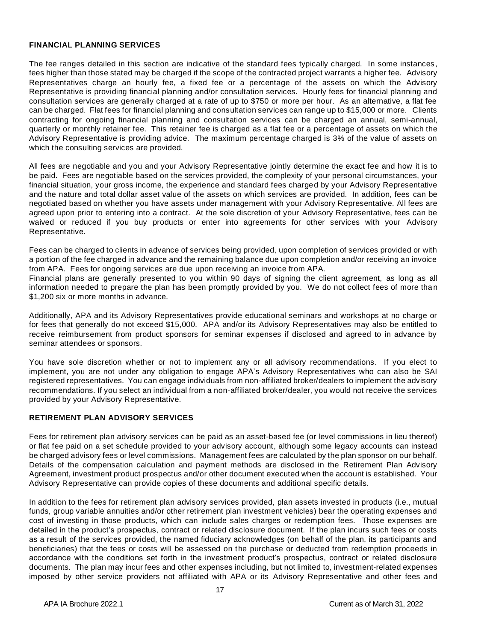#### <span id="page-16-0"></span>**FINANCIAL PLANNING SERVICES**

The fee ranges detailed in this section are indicative of the standard fees typically charged. In some instances, fees higher than those stated may be charged if the scope of the contracted project warrants a higher fee. Advisory Representatives charge an hourly fee, a fixed fee or a percentage of the assets on which the Advisory Representative is providing financial planning and/or consultation services. Hourly fees for financial planning and consultation services are generally charged at a rate of up to \$750 or more per hour. As an alternative, a flat fee can be charged. Flat fees for financial planning and consultation services can range up to \$15,000 or more. Clients contracting for ongoing financial planning and consultation services can be charged an annual, semi-annual, quarterly or monthly retainer fee. This retainer fee is charged as a flat fee or a percentage of assets on which the Advisory Representative is providing advice. The maximum percentage charged is 3% of the value of assets on which the consulting services are provided.

All fees are negotiable and you and your Advisory Representative jointly determine the exact fee and how it is to be paid. Fees are negotiable based on the services provided, the complexity of your personal circumstances, your financial situation, your gross income, the experience and standard fees charged by your Advisory Representative and the nature and total dollar asset value of the assets on which services are provided. In addition, fees can be negotiated based on whether you have assets under management with your Advisory Representative. All fees are agreed upon prior to entering into a contract. At the sole discretion of your Advisory Representative, fees can be waived or reduced if you buy products or enter into agreements for other services with your Advisory Representative.

Fees can be charged to clients in advance of services being provided, upon completion of services provided or with a portion of the fee charged in advance and the remaining balance due upon completion and/or receiving an invoice from APA. Fees for ongoing services are due upon receiving an invoice from APA.

Financial plans are generally presented to you within 90 days of signing the client agreement, as long as all information needed to prepare the plan has been promptly provided by you. We do not collect fees of more than \$1,200 six or more months in advance.

Additionally, APA and its Advisory Representatives provide educational seminars and workshops at no charge or for fees that generally do not exceed \$15,000. APA and/or its Advisory Representatives may also be entitled to receive reimbursement from product sponsors for seminar expenses if disclosed and agreed to in advance by seminar attendees or sponsors.

You have sole discretion whether or not to implement any or all advisory recommendations. If you elect to implement, you are not under any obligation to engage APA's Advisory Representatives who can also be SAI registered representatives. You can engage individuals from non-affiliated broker/dealers to implement the advisory recommendations. If you select an individual from a non-affiliated broker/dealer, you would not receive the services provided by your Advisory Representative.

## **RETIREMENT PLAN ADVISORY SERVICES**

Fees for retirement plan advisory services can be paid as an asset-based fee (or level commissions in lieu thereof) or flat fee paid on a set schedule provided to your advisory account, although some legacy accounts can instead be charged advisory fees or level commissions. Management fees are calculated by the plan sponsor on our behalf. Details of the compensation calculation and payment methods are disclosed in the Retirement Plan Advisory Agreement, investment product prospectus and/or other document executed when the account is established. Your Advisory Representative can provide copies of these documents and additional specific details.

In addition to the fees for retirement plan advisory services provided, plan assets invested in products (i.e., mutual funds, group variable annuities and/or other retirement plan investment vehicles) bear the operating expenses and cost of investing in those products, which can include sales charges or redemption fees. Those expenses are detailed in the product's prospectus, contract or related disclosure document. If the plan incurs such fees or costs as a result of the services provided, the named fiduciary acknowledges (on behalf of the plan, its participants and beneficiaries) that the fees or costs will be assessed on the purchase or deducted from redemption proceeds in accordance with the conditions set forth in the investment product's prospectus, contract or related disclosure documents. The plan may incur fees and other expenses including, but not limited to, investment-related expenses imposed by other service providers not affiliated with APA or its Advisory Representative and other fees and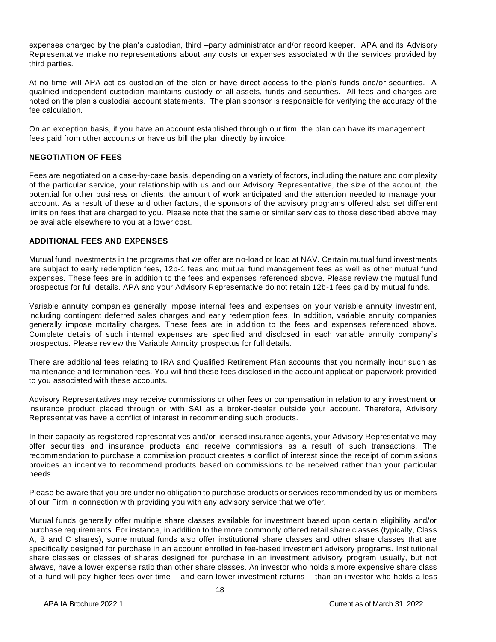expenses charged by the plan's custodian, third –party administrator and/or record keeper. APA and its Advisory Representative make no representations about any costs or expenses associated with the services provided by third parties.

At no time will APA act as custodian of the plan or have direct access to the plan's funds and/or securities. A qualified independent custodian maintains custody of all assets, funds and securities. All fees and charges are noted on the plan's custodial account statements. The plan sponsor is responsible for verifying the accuracy of the fee calculation.

On an exception basis, if you have an account established through our firm, the plan can have its management fees paid from other accounts or have us bill the plan directly by invoice.

## <span id="page-17-0"></span>**NEGOTIATION OF FEES**

Fees are negotiated on a case-by-case basis, depending on a variety of factors, including the nature and complexity of the particular service, your relationship with us and our Advisory Representative, the size of the account, the potential for other business or clients, the amount of work anticipated and the attention needed to manage your account. As a result of these and other factors, the sponsors of the advisory programs offered also set different limits on fees that are charged to you. Please note that the same or similar services to those described above may be available elsewhere to you at a lower cost.

## <span id="page-17-1"></span>**ADDITIONAL FEES AND EXPENSES**

Mutual fund investments in the programs that we offer are no-load or load at NAV. Certain mutual fund investments are subject to early redemption fees, 12b-1 fees and mutual fund management fees as well as other mutual fund expenses. These fees are in addition to the fees and expenses referenced above. Please review the mutual fund prospectus for full details. APA and your Advisory Representative do not retain 12b-1 fees paid by mutual funds.

Variable annuity companies generally impose internal fees and expenses on your variable annuity investment, including contingent deferred sales charges and early redemption fees. In addition, variable annuity companies generally impose mortality charges. These fees are in addition to the fees and expenses referenced above. Complete details of such internal expenses are specified and disclosed in each variable annuity company's prospectus. Please review the Variable Annuity prospectus for full details.

There are additional fees relating to IRA and Qualified Retirement Plan accounts that you normally incur such as maintenance and termination fees. You will find these fees disclosed in the account application paperwork provided to you associated with these accounts.

Advisory Representatives may receive commissions or other fees or compensation in relation to any investment or insurance product placed through or with SAI as a broker-dealer outside your account. Therefore, Advisory Representatives have a conflict of interest in recommending such products.

In their capacity as registered representatives and/or licensed insurance agents, your Advisory Representative may offer securities and insurance products and receive commissions as a result of such transactions. The recommendation to purchase a commission product creates a conflict of interest since the receipt of commissions provides an incentive to recommend products based on commissions to be received rather than your particular needs.

Please be aware that you are under no obligation to purchase products or services recommended by us or members of our Firm in connection with providing you with any advisory service that we offer.

Mutual funds generally offer multiple share classes available for investment based upon certain eligibility and/or purchase requirements. For instance, in addition to the more commonly offered retail share classes (typically, Class A, B and C shares), some mutual funds also offer institutional share classes and other share classes that are specifically designed for purchase in an account enrolled in fee-based investment advisory programs. Institutional share classes or classes of shares designed for purchase in an investment advisory program usually, but not always, have a lower expense ratio than other share classes. An investor who holds a more expensive share class of a fund will pay higher fees over time – and earn lower investment returns – than an investor who holds a less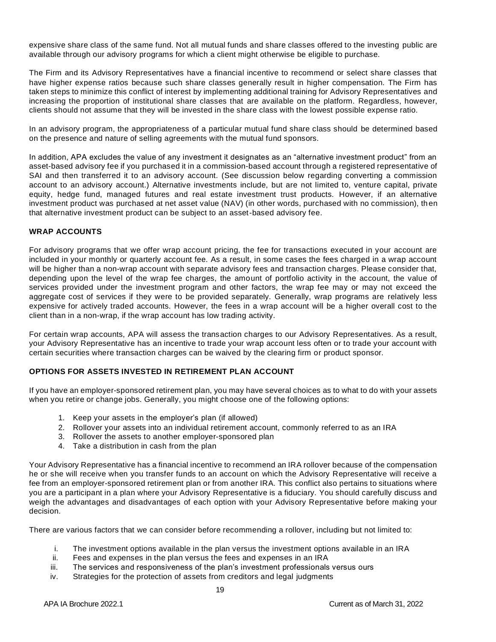expensive share class of the same fund. Not all mutual funds and share classes offered to the investing public are available through our advisory programs for which a client might otherwise be eligible to purchase.

The Firm and its Advisory Representatives have a financial incentive to recommend or select share classes that have higher expense ratios because such share classes generally result in higher compensation. The Firm has taken steps to minimize this conflict of interest by implementing additional training for Advisory Representatives and increasing the proportion of institutional share classes that are available on the platform. Regardless, however, clients should not assume that they will be invested in the share class with the lowest possible expense ratio.

In an advisory program, the appropriateness of a particular mutual fund share class should be determined based on the presence and nature of selling agreements with the mutual fund sponsors.

In addition, APA excludes the value of any investment it designates as an "alternative investment product" from an asset-based advisory fee if you purchased it in a commission-based account through a registered representative of SAI and then transferred it to an advisory account. (See discussion below regarding converting a commission account to an advisory account.) Alternative investments include, but are not limited to, venture capital, private equity, hedge fund, managed futures and real estate investment trust products. However, if an alternative investment product was purchased at net asset value (NAV) (in other words, purchased with no commission), then that alternative investment product can be subject to an asset-based advisory fee.

## <span id="page-18-0"></span>**WRAP ACCOUNTS**

For advisory programs that we offer wrap account pricing, the fee for transactions executed in your account are included in your monthly or quarterly account fee. As a result, in some cases the fees charged in a wrap account will be higher than a non-wrap account with separate advisory fees and transaction charges. Please consider that, depending upon the level of the wrap fee charges, the amount of portfolio activity in the account, the value of services provided under the investment program and other factors, the wrap fee may or may not exceed the aggregate cost of services if they were to be provided separately. Generally, wrap programs are relatively less expensive for actively traded accounts. However, the fees in a wrap account will be a higher overall cost to the client than in a non-wrap, if the wrap account has low trading activity.

For certain wrap accounts, APA will assess the transaction charges to our Advisory Representatives. As a result, your Advisory Representative has an incentive to trade your wrap account less often or to trade your account with certain securities where transaction charges can be waived by the clearing firm or product sponsor.

## <span id="page-18-1"></span>**OPTIONS FOR ASSETS INVESTED IN RETIREMENT PLAN ACCOUNT**

If you have an employer-sponsored retirement plan, you may have several choices as to what to do with your assets when you retire or change jobs. Generally, you might choose one of the following options:

- 1. Keep your assets in the employer's plan (if allowed)
- 2. Rollover your assets into an individual retirement account, commonly referred to as an IRA
- 3. Rollover the assets to another employer-sponsored plan
- 4. Take a distribution in cash from the plan

Your Advisory Representative has a financial incentive to recommend an IRA rollover because of the compensation he or she will receive when you transfer funds to an account on which the Advisory Representative will receive a fee from an employer-sponsored retirement plan or from another IRA. This conflict also pertains to situations where you are a participant in a plan where your Advisory Representative is a fiduciary. You should carefully discuss and weigh the advantages and disadvantages of each option with your Advisory Representative before making your decision.

There are various factors that we can consider before recommending a rollover, including but not limited to:

- i. The investment options available in the plan versus the investment options available in an IRA
- ii. Fees and expenses in the plan versus the fees and expenses in an IRA
- iii. The services and responsiveness of the plan's investment professionals versus ours
- iv. Strategies for the protection of assets from creditors and legal judgments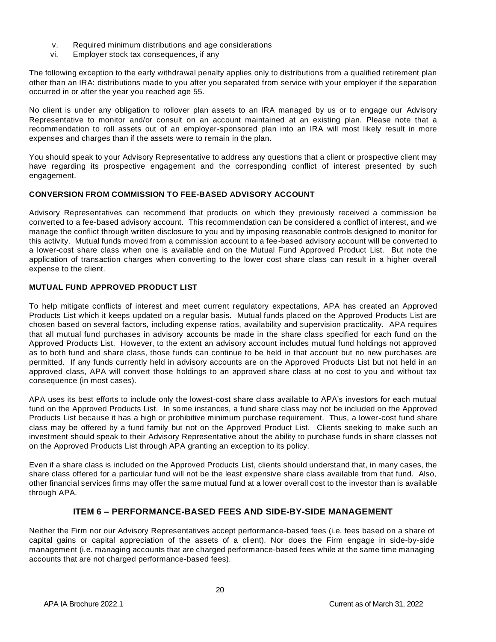- v. Required minimum distributions and age considerations
- vi. Employer stock tax consequences, if any

The following exception to the early withdrawal penalty applies only to distributions from a qualified retirement plan other than an IRA: distributions made to you after you separated from service with your employer if the separation occurred in or after the year you reached age 55.

No client is under any obligation to rollover plan assets to an IRA managed by us or to engage our Advisory Representative to monitor and/or consult on an account maintained at an existing plan. Please note that a recommendation to roll assets out of an employer-sponsored plan into an IRA will most likely result in more expenses and charges than if the assets were to remain in the plan.

You should speak to your Advisory Representative to address any questions that a client or prospective client may have regarding its prospective engagement and the corresponding conflict of interest presented by such engagement.

## <span id="page-19-0"></span>**CONVERSION FROM COMMISSION TO FEE-BASED ADVISORY ACCOUNT**

Advisory Representatives can recommend that products on which they previously received a commission be converted to a fee-based advisory account. This recommendation can be considered a conflict of interest, and we manage the conflict through written disclosure to you and by imposing reasonable controls designed to monitor for this activity. Mutual funds moved from a commission account to a fee-based advisory account will be converted to a lower-cost share class when one is available and on the Mutual Fund Approved Product List. But note the application of transaction charges when converting to the lower cost share class can result in a higher overall expense to the client.

## <span id="page-19-1"></span>**MUTUAL FUND APPROVED PRODUCT LIST**

To help mitigate conflicts of interest and meet current regulatory expectations, APA has created an Approved Products List which it keeps updated on a regular basis. Mutual funds placed on the Approved Products List are chosen based on several factors, including expense ratios, availability and supervision practicality. APA requires that all mutual fund purchases in advisory accounts be made in the share class specified for each fund on the Approved Products List. However, to the extent an advisory account includes mutual fund holdings not approved as to both fund and share class, those funds can continue to be held in that account but no new purchases are permitted. If any funds currently held in advisory accounts are on the Approved Products List but not held in an approved class, APA will convert those holdings to an approved share class at no cost to you and without tax consequence (in most cases).

APA uses its best efforts to include only the lowest-cost share class available to APA's investors for each mutual fund on the Approved Products List. In some instances, a fund share class may not be included on the Approved Products List because it has a high or prohibitive minimum purchase requirement. Thus, a lower-cost fund share class may be offered by a fund family but not on the Approved Product List. Clients seeking to make such an investment should speak to their Advisory Representative about the ability to purchase funds in share classes not on the Approved Products List through APA granting an exception to its policy.

Even if a share class is included on the Approved Products List, clients should understand that, in many cases, the share class offered for a particular fund will not be the least expensive share class available from that fund. Also, other financial services firms may offer the same mutual fund at a lower overall cost to the investor than is available through APA.

# **ITEM 6 – PERFORMANCE-BASED FEES AND SIDE-BY-SIDE MANAGEMENT**

<span id="page-19-2"></span>Neither the Firm nor our Advisory Representatives accept performance-based fees (i.e. fees based on a share of capital gains or capital appreciation of the assets of a client). Nor does the Firm engage in side-by-side management (i.e. managing accounts that are charged performance-based fees while at the same time managing accounts that are not charged performance-based fees).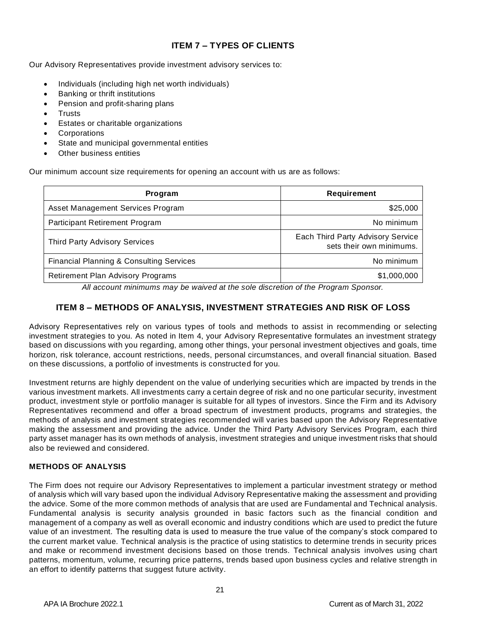# **ITEM 7 – TYPES OF CLIENTS**

<span id="page-20-0"></span>Our Advisory Representatives provide investment advisory services to:

- Individuals (including high net worth individuals)
- Banking or thrift institutions
- Pension and profit-sharing plans
- Trusts
- Estates or charitable organizations
- **Corporations**
- State and municipal governmental entities
- Other business entities

Our minimum account size requirements for opening an account with us are as follows:

| Program                                             | Requirement                                                   |
|-----------------------------------------------------|---------------------------------------------------------------|
| Asset Management Services Program                   | \$25,000                                                      |
| Participant Retirement Program                      | No minimum                                                    |
| Third Party Advisory Services                       | Each Third Party Advisory Service<br>sets their own minimums. |
| <b>Financial Planning &amp; Consulting Services</b> | No minimum                                                    |
| <b>Retirement Plan Advisory Programs</b>            | \$1,000,000                                                   |

*All account minimums may be waived at the sole discretion of the Program Sponsor.*

# **ITEM 8 – METHODS OF ANALYSIS, INVESTMENT STRATEGIES AND RISK OF LOSS**

<span id="page-20-1"></span>Advisory Representatives rely on various types of tools and methods to assist in recommending or selecting investment strategies to you. As noted in Item 4, your Advisory Representative formulates an investment strategy based on discussions with you regarding, among other things, your personal investment objectives and goals, time horizon, risk tolerance, account restrictions, needs, personal circumstances, and overall financial situation. Based on these discussions, a portfolio of investments is constructed for you.

Investment returns are highly dependent on the value of underlying securities which are impacted by trends in the various investment markets. All investments carry a certain degree of risk and no one particular security, investment product, investment style or portfolio manager is suitable for all types of investors. Since the Firm and its Advisory Representatives recommend and offer a broad spectrum of investment products, programs and strategies, the methods of analysis and investment strategies recommended will varies based upon the Advisory Representative making the assessment and providing the advice. Under the Third Party Advisory Services Program, each third party asset manager has its own methods of analysis, investment strategies and unique investment risks that should also be reviewed and considered.

## <span id="page-20-2"></span>**METHODS OF ANALYSIS**

The Firm does not require our Advisory Representatives to implement a particular investment strategy or method of analysis which will vary based upon the individual Advisory Representative making the assessment and providing the advice. Some of the more common methods of analysis that are used are Fundamental and Technical analysis. Fundamental analysis is security analysis grounded in basic factors such as the financial condition and management of a company as well as overall economic and industry conditions which are used to predict the future value of an investment. The resulting data is used to measure the true value of the company's stock compared to the current market value. Technical analysis is the practice of using statistics to determine trends in security prices and make or recommend investment decisions based on those trends. Technical analysis involves using chart patterns, momentum, volume, recurring price patterns, trends based upon business cycles and relative strength in an effort to identify patterns that suggest future activity.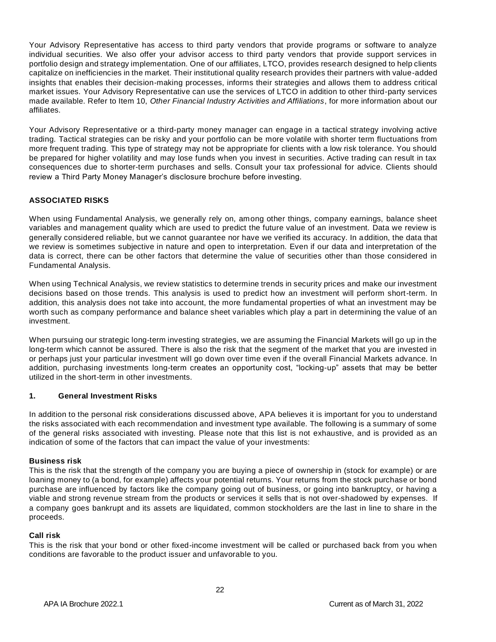Your Advisory Representative has access to third party vendors that provide programs or software to analyze individual securities. We also offer your advisor access to third party vendors that provide support services in portfolio design and strategy implementation. One of our affiliates, LTCO, provides research designed to help clients capitalize on inefficiencies in the market. Their institutional quality research provides their partners with value-added insights that enables their decision-making processes, informs their strategies and allows them to address critical market issues. Your Advisory Representative can use the services of LTCO in addition to other third-party services made available. Refer to Item 10, *Other Financial Industry Activities and Affiliations*, for more information about our affiliates.

Your Advisory Representative or a third-party money manager can engage in a tactical strategy involving active trading. Tactical strategies can be risky and your portfolio can be more volatile with shorter term fluctuations from more frequent trading. This type of strategy may not be appropriate for clients with a low risk tolerance. You should be prepared for higher volatility and may lose funds when you invest in securities. Active trading can result in tax consequences due to shorter-term purchases and sells. Consult your tax professional for advice. Clients should review a Third Party Money Manager's disclosure brochure before investing.

## <span id="page-21-0"></span>**ASSOCIATED RISKS**

When using Fundamental Analysis, we generally rely on, among other things, company earnings, balance sheet variables and management quality which are used to predict the future value of an investment. Data we review is generally considered reliable, but we cannot guarantee nor have we verified its accuracy. In addition, the data that we review is sometimes subjective in nature and open to interpretation. Even if our data and interpretation of the data is correct, there can be other factors that determine the value of securities other than those considered in Fundamental Analysis.

When using Technical Analysis, we review statistics to determine trends in security prices and make our investment decisions based on those trends. This analysis is used to predict how an investment will perform short-term. In addition, this analysis does not take into account, the more fundamental properties of what an investment may be worth such as company performance and balance sheet variables which play a part in determining the value of an investment.

When pursuing our strategic long-term investing strategies, we are assuming the Financial Markets will go up in the long-term which cannot be assured. There is also the risk that the segment of the market that you are invested in or perhaps just your particular investment will go down over time even if the overall Financial Markets advance. In addition, purchasing investments long-term creates an opportunity cost, "locking-up" assets that may be better utilized in the short-term in other investments.

## **1. General Investment Risks**

In addition to the personal risk considerations discussed above, APA believes it is important for you to understand the risks associated with each recommendation and investment type available. The following is a summary of some of the general risks associated with investing. Please note that this list is not exhaustive, and is provided as an indication of some of the factors that can impact the value of your investments:

## **Business risk**

This is the risk that the strength of the company you are buying a piece of ownership in (stock for example) or are loaning money to (a bond, for example) affects your potential returns. Your returns from the stock purchase or bond purchase are influenced by factors like the company going out of business, or going into bankruptcy, or having a viable and strong revenue stream from the products or services it sells that is not over-shadowed by expenses. If a company goes bankrupt and its assets are liquidated, common stockholders are the last in line to share in the proceeds.

#### **Call risk**

This is the risk that your bond or other fixed-income investment will be called or purchased back from you when conditions are favorable to the product issuer and unfavorable to you.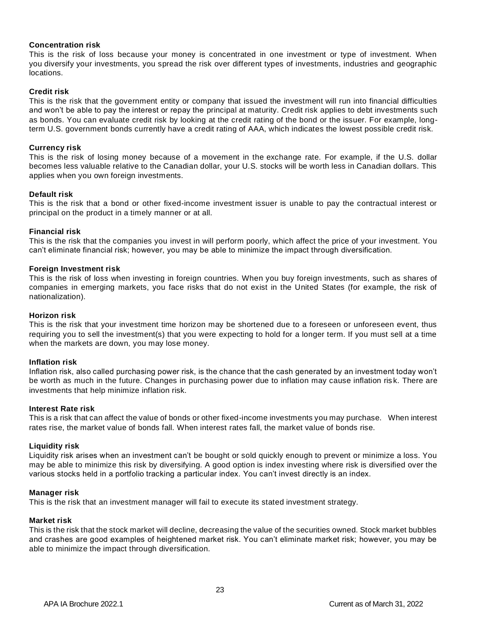## **Concentration risk**

This is the risk of loss because your money is concentrated in one investment or type of investment. When you diversify your investments, you spread the risk over different types of investments, industries and geographic locations.

## **Credit risk**

This is the risk that the government entity or company that issued the investment will run into financial difficulties and won't be able to pay the interest or repay the principal at maturity. Credit risk applies to debt investments such as bonds. You can evaluate credit risk by looking at the credit rating of the bond or the issuer. For example, longterm U.S. government bonds currently have a credit rating of AAA, which indicates the lowest possible credit risk.

#### **Currency risk**

This is the risk of losing money because of a movement in the exchange rate. For example, if the U.S. dollar becomes less valuable relative to the Canadian dollar, your U.S. stocks will be worth less in Canadian dollars. This applies when you own foreign investments.

#### **Default risk**

This is the risk that a bond or other fixed-income investment issuer is unable to pay the contractual interest or principal on the product in a timely manner or at all.

#### **Financial risk**

This is the risk that the companies you invest in will perform poorly, which affect the price of your investment. You can't eliminate financial risk; however, you may be able to minimize the impact through diversification.

#### **Foreign Investment risk**

This is the risk of loss when investing in foreign countries. When you buy foreign investments, such as shares of companies in emerging markets, you face risks that do not exist in the United States (for example, the risk of nationalization).

#### **Horizon risk**

This is the risk that your investment time horizon may be shortened due to a foreseen or unforeseen event, thus requiring you to sell the investment(s) that you were expecting to hold for a longer term. If you must sell at a time when the markets are down, you may lose money.

#### **Inflation risk**

Inflation risk, also called purchasing power risk, is the chance that the cash generated by an investment today won't be worth as much in the future. Changes in purchasing power due to inflation may cause inflation ris k. There are investments that help minimize inflation risk.

#### **Interest Rate risk**

This is a risk that can affect the value of bonds or other fixed-income investments you may purchase. When interest rates rise, the market value of bonds fall. When interest rates fall, the market value of bonds rise.

#### **Liquidity risk**

Liquidity risk arises when an investment can't be bought or sold quickly enough to prevent or minimize a loss. You may be able to minimize this risk by diversifying. A good option is index investing where risk is diversified over the various stocks held in a portfolio tracking a particular index. You can't invest directly is an index.

#### **Manager risk**

This is the risk that an investment manager will fail to execute its stated investment strategy.

#### **Market risk**

This is the risk that the stock market will decline, decreasing the value of the securities owned. Stock market bubbles and crashes are good examples of heightened market risk. You can't eliminate market risk; however, you may be able to minimize the impact through diversification.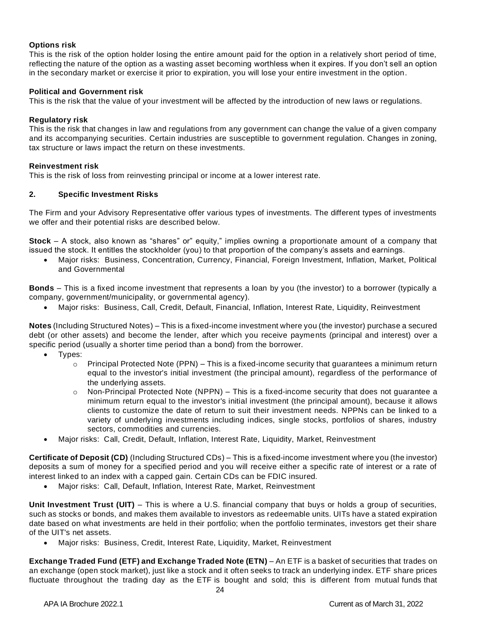## **Options risk**

This is the risk of the option holder losing the entire amount paid for the option in a relatively short period of time, reflecting the nature of the option as a wasting asset becoming worthless when it expires. If you don't sell an option in the secondary market or exercise it prior to expiration, you will lose your entire investment in the option.

## **Political and Government risk**

This is the risk that the value of your investment will be affected by the introduction of new laws or regulations.

## **Regulatory risk**

This is the risk that changes in law and regulations from any government can change the value of a given company and its accompanying securities. Certain industries are susceptible to government regulation. Changes in zoning, tax structure or laws impact the return on these investments.

## **Reinvestment risk**

This is the risk of loss from reinvesting principal or income at a lower interest rate.

## **2. Specific Investment Risks**

The Firm and your Advisory Representative offer various types of investments. The different types of investments we offer and their potential risks are described below.

**Stock** – A stock, also known as "shares" or" equity," implies owning a proportionate amount of a company that issued the stock. It entitles the stockholder (you) to that proportion of the company's assets and earnings.

• Major risks: Business, Concentration, Currency, Financial, Foreign Investment, Inflation, Market, Political and Governmental

**Bonds** – This is a fixed income investment that represents a loan by you (the investor) to a borrower (typically a company, government/municipality, or governmental agency).

• Major risks: Business, Call, Credit, Default, Financial, Inflation, Interest Rate, Liquidity, Reinvestment

**Notes** (Including Structured Notes) – This is a fixed-income investment where you (the investor) purchase a secured debt (or other assets) and become the lender, after which you receive payments (principal and interest) over a specific period (usually a shorter time period than a bond) from the borrower.

- Types:
	- $\circ$  Principal Protected Note (PPN) This is a fixed-income security that guarantees a minimum return equal to the investor's initial investment (the principal amount), regardless of the performance of the underlying assets.
	- $\circ$  Non-Principal Protected Note (NPPN) This is a fixed-income security that does not guarantee a minimum return equal to the investor's initial investment (the principal amount), because it allows clients to customize the date of return to suit their investment needs. NPPNs can be linked to a variety of underlying investments including indices, single stocks, portfolios of shares, industry sectors, commodities and currencies.
- Major risks: Call, Credit, Default, Inflation, Interest Rate, Liquidity, Market, Reinvestment

**Certificate of Deposit (CD)** (Including Structured CDs) – This is a fixed-income investment where you (the investor) deposits a sum of money for a specified period and you will receive either a specific rate of interest or a rate of interest linked to an index with a capped gain. Certain CDs can be FDIC insured.

• Major risks: Call, Default, Inflation, Interest Rate, Market, Reinvestment

**Unit Investment Trust (UIT)** – This is where a U.S. financial company that buys or holds a group of securities, such as stocks or bonds, and makes them available to investors as redeemable units. UITs have a stated expiration date based on what investments are held in their portfolio; when the portfolio terminates, investors get their share of the UIT's net assets.

• Major risks: Business, Credit, Interest Rate, Liquidity, Market, Reinvestment

**Exchange Traded Fund (ETF) and Exchange Traded Note (ETN)** – An ETF is a basket of securities that trades on an exchange (open stock market), just like a stock and it often seeks to track an underlying index. ETF share prices fluctuate throughout the trading day as the ETF is bought and sold; this is different from mutual funds that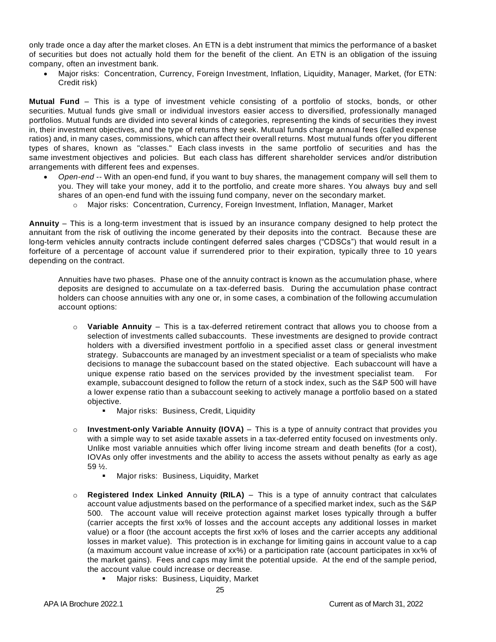only trade once a day after the market closes. An ETN is a debt instrument that mimics the performance of a basket of securities but does not actually hold them for the benefit of the client. An ETN is an obligation of the issuing company, often an investment bank.

• Major risks: Concentration, Currency, Foreign Investment, Inflation, Liquidity, Manager, Market, (for ETN: Credit risk)

**Mutual Fund** – This is a type of investment vehicle consisting of a portfolio of stocks, bonds, or other securities. Mutual funds give small or individual investors easier access to diversified, professionally managed portfolios. Mutual funds are divided into several kinds of categories, representing the kinds of securities they invest in, their investment objectives, and the type of returns they seek. Mutual funds charge annual fees (called expense ratios) and, in many cases, commissions, which can affect their overall returns. Most mutual funds offer you different types of shares, known as "classes." Each class invests in the same portfolio of securities and has the same investment objectives and policies. But each class has different shareholder services and/or distribution arrangements with different fees and expenses.

- *Open-end* -- With an open-end fund, if you want to buy shares, the management company will sell them to you. They will take your money, add it to the portfolio, and create more shares. You always buy and sell shares of an open-end fund with the issuing fund company, never on the secondary market.
	- o Major risks: Concentration, Currency, Foreign Investment, Inflation, Manager, Market

**Annuity** – This is a long-term investment that is issued by an insurance company designed to help protect the annuitant from the risk of outliving the income generated by their deposits into the contract. Because these are long-term vehicles annuity contracts include contingent deferred sales charges ("CDSCs") that would result in a forfeiture of a percentage of account value if surrendered prior to their expiration, typically three to 10 years depending on the contract.

Annuities have two phases. Phase one of the annuity contract is known as the accumulation phase, where deposits are designed to accumulate on a tax-deferred basis. During the accumulation phase contract holders can choose annuities with any one or, in some cases, a combination of the following accumulation account options:

- o **Variable Annuity** This is a tax-deferred retirement contract that allows you to choose from a selection of investments called subaccounts. These investments are designed to provide contract holders with a diversified investment portfolio in a specified asset class or general investment strategy. Subaccounts are managed by an investment specialist or a team of specialists who make decisions to manage the subaccount based on the stated objective. Each subaccount will have a unique expense ratio based on the services provided by the investment specialist team. For example, subaccount designed to follow the return of a stock index, such as the S&P 500 will have a lower expense ratio than a subaccount seeking to actively manage a portfolio based on a stated objective.
	- Major risks: Business, Credit, Liquidity
- o **Investment-only Variable Annuity (IOVA)** This is a type of annuity contract that provides you with a simple way to set aside taxable assets in a tax-deferred entity focused on investments only. Unlike most variable annuities which offer living income stream and death benefits (for a cost), IOVAs only offer investments and the ability to access the assets without penalty as early as age 59 ½.
	- Major risks: Business, Liquidity, Market
- o **Registered Index Linked Annuity (RILA)** This is a type of annuity contract that calculates account value adjustments based on the performance of a specified market index, such as the S&P 500. The account value will receive protection against market loses typically through a buffer (carrier accepts the first xx% of losses and the account accepts any additional losses in market value) or a floor (the account accepts the first xx% of loses and the carrier accepts any additional losses in market value). This protection is in exchange for limiting gains in account value to a cap (a maximum account value increase of xx%) or a participation rate (account participates in xx% of the market gains). Fees and caps may limit the potential upside. At the end of the sample period, the account value could increase or decrease.
	- Major risks: Business, Liquidity, Market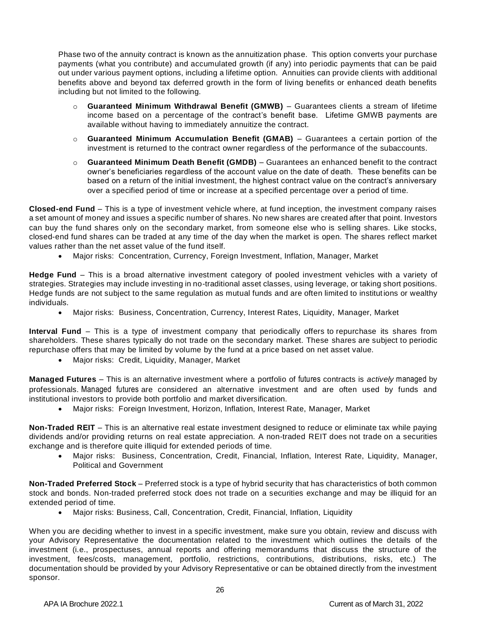Phase two of the annuity contract is known as the annuitization phase. This option converts your purchase payments (what you contribute) and accumulated growth (if any) into periodic payments that can be paid out under various payment options, including a lifetime option. Annuities can provide clients with additional benefits above and beyond tax deferred growth in the form of living benefits or enhanced death benefits including but not limited to the following.

- o **Guaranteed Minimum Withdrawal Benefit (GMWB)** Guarantees clients a stream of lifetime income based on a percentage of the contract's benefit base. Lifetime GMWB payments are available without having to immediately annuitize the contract.
- o **Guaranteed Minimum Accumulation Benefit (GMAB)** Guarantees a certain portion of the investment is returned to the contract owner regardless of the performance of the subaccounts.
- o **Guaranteed Minimum Death Benefit (GMDB)** Guarantees an enhanced benefit to the contract owner's beneficiaries regardless of the account value on the date of death. These benefits can be based on a return of the initial investment, the highest contract value on the contract's anniversary over a specified period of time or increase at a specified percentage over a period of time.

**Closed-end Fund** – This is a type of investment vehicle where, at fund inception, the investment company raises a set amount of money and issues a specific number of shares. No new shares are created after that point. Investors can buy the fund shares only on the secondary market, from someone else who is selling shares. Like stocks, closed-end fund shares can be traded at any time of the day when the market is open. The shares reflect market values rather than the net asset value of the fund itself.

• Major risks: Concentration, Currency, Foreign Investment, Inflation, Manager, Market

**Hedge Fund** – This is a broad alternative investment category of pooled investment vehicles with a variety of strategies. Strategies may include investing in no-traditional asset classes, using leverage, or taking short positions. Hedge funds are not subject to the same regulation as mutual funds and are often limited to institut ions or wealthy individuals.

• Major risks: Business, Concentration, Currency, Interest Rates, Liquidity, Manager, Market

**Interval Fund** – This is a type of investment company that periodically offers to repurchase its shares from shareholders. These shares typically do not trade on the secondary market. These shares are subject to periodic repurchase offers that may be limited by volume by the fund at a price based on net asset value.

• Major risks: Credit, Liquidity, Manager, Market

**Managed Futures** – This is an alternative investment where a portfolio of futures contracts is *actively* managed by professionals. Managed futures are considered an alternative investment and are often used by funds and institutional investors to provide both portfolio and market diversification.

• Major risks: Foreign Investment, Horizon, Inflation, Interest Rate, Manager, Market

**Non-Traded REIT** – This is an alternative real estate investment designed to reduce or eliminate tax while paying dividends and/or providing returns on real estate appreciation. A non-traded REIT does not trade on a securities exchange and is therefore quite illiquid for extended periods of time.

• Major risks: Business, Concentration, Credit, Financial, Inflation, Interest Rate, Liquidity, Manager, Political and Government

**Non-Traded Preferred Stock** – Preferred stock is a type of hybrid security that has characteristics of both common stock and bonds. Non-traded preferred stock does not trade on a securities exchange and may be illiquid for an extended period of time.

• Major risks: Business, Call, Concentration, Credit, Financial, Inflation, Liquidity

When you are deciding whether to invest in a specific investment, make sure you obtain, review and discuss with your Advisory Representative the documentation related to the investment which outlines the details of the investment (i.e., prospectuses, annual reports and offering memorandums that discuss the structure of the investment, fees/costs, management, portfolio, restrictions, contributions, distributions, risks, etc.) The documentation should be provided by your Advisory Representative or can be obtained directly from the investment sponsor.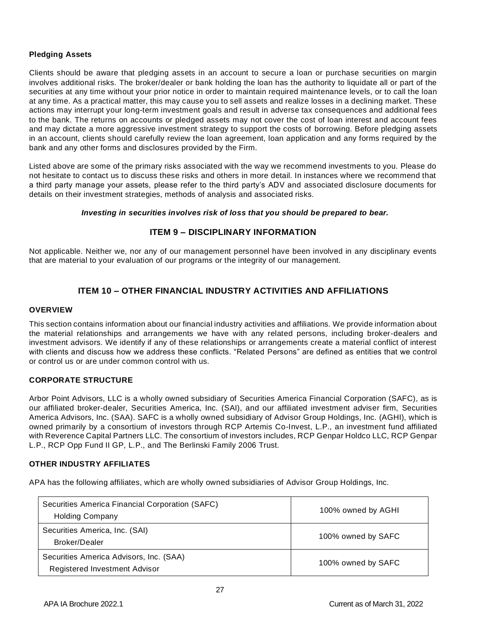## **Pledging Assets**

Clients should be aware that pledging assets in an account to secure a loan or purchase securities on margin involves additional risks. The broker/dealer or bank holding the loan has the authority to liquidate all or part of the securities at any time without your prior notice in order to maintain required maintenance levels, or to call the loan at any time. As a practical matter, this may cause you to sell assets and realize losses in a declining market. These actions may interrupt your long-term investment goals and result in adverse tax consequences and additional fees to the bank. The returns on accounts or pledged assets may not cover the cost of loan interest and account fees and may dictate a more aggressive investment strategy to support the costs of borrowing. Before pledging assets in an account, clients should carefully review the loan agreement, loan application and any forms required by the bank and any other forms and disclosures provided by the Firm.

Listed above are some of the primary risks associated with the way we recommend investments to you. Please do not hesitate to contact us to discuss these risks and others in more detail. In instances where we recommend that a third party manage your assets, please refer to the third party's ADV and associated disclosure documents for details on their investment strategies, methods of analysis and associated risks.

## *Investing in securities involves risk of loss that you should be prepared to bear.*

# **ITEM 9 – DISCIPLINARY INFORMATION**

<span id="page-26-0"></span>Not applicable. Neither we, nor any of our management personnel have been involved in any disciplinary events that are material to your evaluation of our programs or the integrity of our management.

# **ITEM 10 – OTHER FINANCIAL INDUSTRY ACTIVITIES AND AFFILIATIONS**

#### <span id="page-26-1"></span>**OVERVIEW**

This section contains information about our financial industry activities and affiliations. We provide information about the material relationships and arrangements we have with any related persons, including broker-dealers and investment advisors. We identify if any of these relationships or arrangements create a material conflict of interest with clients and discuss how we address these conflicts. "Related Persons" are defined as entities that we control or control us or are under common control with us.

## <span id="page-26-2"></span>**CORPORATE STRUCTURE**

Arbor Point Advisors, LLC is a wholly owned subsidiary of Securities America Financial Corporation (SAFC), as is our affiliated broker-dealer, Securities America, Inc. (SAI), and our affiliated investment adviser firm, Securities America Advisors, Inc. (SAA). SAFC is a wholly owned subsidiary of Advisor Group Holdings, Inc. (AGHI), which is owned primarily by a consortium of investors through RCP Artemis Co-Invest, L.P., an investment fund affiliated with Reverence Capital Partners LLC. The consortium of investors includes, RCP Genpar Holdco LLC, RCP Genpar L.P., RCP Opp Fund II GP, L.P., and The Berlinski Family 2006 Trust.

## <span id="page-26-3"></span>**OTHER INDUSTRY AFFILIATES**

APA has the following affiliates, which are wholly owned subsidiaries of Advisor Group Holdings, Inc.

| Securities America Financial Corporation (SAFC)<br><b>Holding Company</b> | 100% owned by AGHI |
|---------------------------------------------------------------------------|--------------------|
| Securities America, Inc. (SAI)<br>Broker/Dealer                           | 100% owned by SAFC |
| Securities America Advisors, Inc. (SAA)<br>Registered Investment Advisor  | 100% owned by SAFC |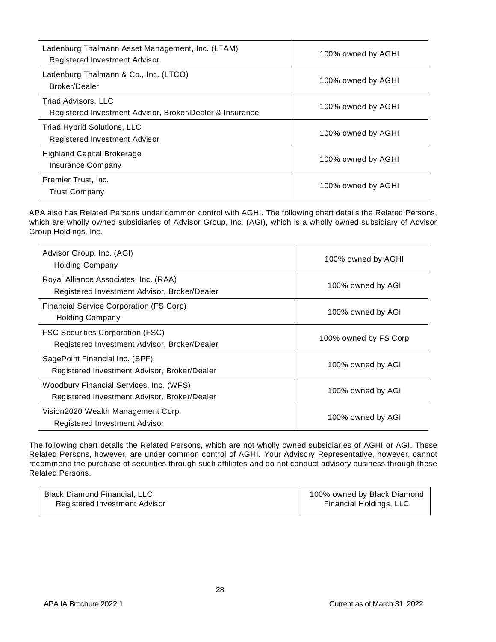| Ladenburg Thalmann Asset Management, Inc. (LTAM)<br>Registered Investment Advisor | 100% owned by AGHI |
|-----------------------------------------------------------------------------------|--------------------|
| Ladenburg Thalmann & Co., Inc. (LTCO)<br>Broker/Dealer                            | 100% owned by AGHI |
| Triad Advisors, LLC<br>Registered Investment Advisor, Broker/Dealer & Insurance   | 100% owned by AGHI |
| Triad Hybrid Solutions, LLC<br>Registered Investment Advisor                      | 100% owned by AGHI |
| Highland Capital Brokerage<br>Insurance Company                                   | 100% owned by AGHI |
| Premier Trust, Inc.<br><b>Trust Company</b>                                       | 100% owned by AGHI |

APA also has Related Persons under common control with AGHI. The following chart details the Related Persons, which are wholly owned subsidiaries of Advisor Group, Inc. (AGI), which is a wholly owned subsidiary of Advisor Group Holdings, Inc.

| Advisor Group, Inc. (AGI)<br><b>Holding Company</b>                                     | 100% owned by AGHI    |
|-----------------------------------------------------------------------------------------|-----------------------|
| Royal Alliance Associates, Inc. (RAA)<br>Registered Investment Advisor, Broker/Dealer   | 100% owned by AGI     |
| Financial Service Corporation (FS Corp)<br><b>Holding Company</b>                       | 100% owned by AGI     |
| <b>FSC Securities Corporation (FSC)</b><br>Registered Investment Advisor, Broker/Dealer | 100% owned by FS Corp |
| SagePoint Financial Inc. (SPF)<br>Registered Investment Advisor, Broker/Dealer          | 100% owned by AGI     |
| Woodbury Financial Services, Inc. (WFS)<br>Registered Investment Advisor, Broker/Dealer | 100% owned by AGI     |
| Vision2020 Wealth Management Corp.<br>Registered Investment Advisor                     | 100% owned by AGI     |

The following chart details the Related Persons, which are not wholly owned subsidiaries of AGHI or AGI. These Related Persons, however, are under common control of AGHI. Your Advisory Representative, however, cannot recommend the purchase of securities through such affiliates and do not conduct advisory business through these Related Persons.

| Black Diamond Financial, LLC  | 100% owned by Black Diamond |
|-------------------------------|-----------------------------|
| Registered Investment Advisor | Financial Holdings, LLC     |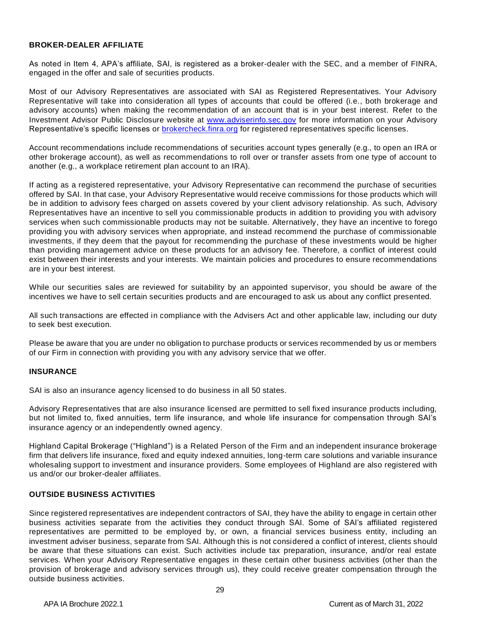#### <span id="page-28-0"></span>**BROKER-DEALER AFFILIATE**

As noted in Item 4, APA's affiliate, SAI, is registered as a broker-dealer with the SEC, and a member of FINRA, engaged in the offer and sale of securities products.

Most of our Advisory Representatives are associated with SAI as Registered Representatives. Your Advisory Representative will take into consideration all types of accounts that could be offered (i.e., both brokerage and advisory accounts) when making the recommendation of an account that is in your best interest. Refer to the Investment Advisor Public Disclosure website at [www.adviserinfo.sec.gov](http://www.adviserinfo.sec.gov/) for more information on your Advisory Representative's specific licenses or [brokercheck.finra.org](https://brokercheck.finra.org/) for registered representatives specific licenses.

Account recommendations include recommendations of securities account types generally (e.g., to open an IRA or other brokerage account), as well as recommendations to roll over or transfer assets from one type of account to another (e.g., a workplace retirement plan account to an IRA).

If acting as a registered representative, your Advisory Representative can recommend the purchase of securities offered by SAI. In that case, your Advisory Representative would receive commissions for those products which will be in addition to advisory fees charged on assets covered by your client advisory relationship. As such, Advisory Representatives have an incentive to sell you commissionable products in addition to providing you with advisory services when such commissionable products may not be suitable. Alternatively, they have an incentive to forego providing you with advisory services when appropriate, and instead recommend the purchase of commissionable investments, if they deem that the payout for recommending the purchase of these investments would be higher than providing management advice on these products for an advisory fee. Therefore, a conflict of interest could exist between their interests and your interests. We maintain policies and procedures to ensure recommendations are in your best interest.

While our securities sales are reviewed for suitability by an appointed supervisor, you should be aware of the incentives we have to sell certain securities products and are encouraged to ask us about any conflict presented.

All such transactions are effected in compliance with the Advisers Act and other applicable law, including our duty to seek best execution.

Please be aware that you are under no obligation to purchase products or services recommended by us or members of our Firm in connection with providing you with any advisory service that we offer.

## <span id="page-28-1"></span>**INSURANCE**

SAI is also an insurance agency licensed to do business in all 50 states.

Advisory Representatives that are also insurance licensed are permitted to sell fixed insurance products including, but not limited to, fixed annuities, term life insurance, and whole life insurance for compensation through SAI's insurance agency or an independently owned agency.

Highland Capital Brokerage ("Highland") is a Related Person of the Firm and an independent insurance brokerage firm that delivers life insurance, fixed and equity indexed annuities, long-term care solutions and variable insurance wholesaling support to investment and insurance providers. Some employees of Highland are also registered with us and/or our broker-dealer affiliates.

## <span id="page-28-2"></span>**OUTSIDE BUSINESS ACTIVITIES**

Since registered representatives are independent contractors of SAI, they have the ability to engage in certain other business activities separate from the activities they conduct through SAI. Some of SAI's affiliated registered representatives are permitted to be employed by, or own, a financial services business entity, including an investment adviser business, separate from SAI. Although this is not considered a conflict of interest, clients should be aware that these situations can exist. Such activities include tax preparation, insurance, and/or real estate services. When your Advisory Representative engages in these certain other business activities (other than the provision of brokerage and advisory services through us), they could receive greater compensation through the outside business activities.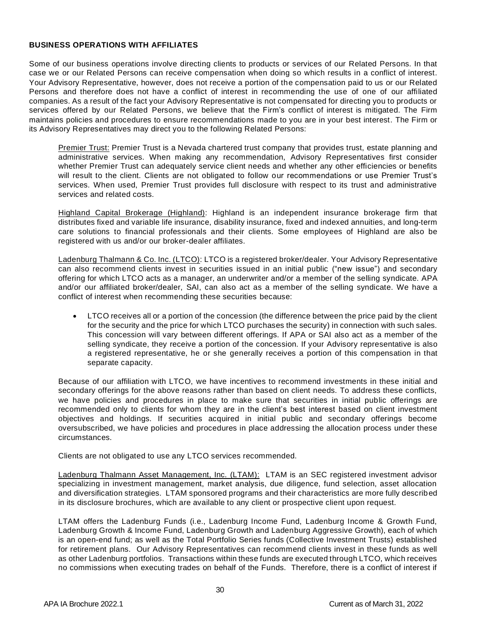#### <span id="page-29-0"></span>**BUSINESS OPERATIONS WITH AFFILIATES**

Some of our business operations involve directing clients to products or services of our Related Persons. In that case we or our Related Persons can receive compensation when doing so which results in a conflict of interest. Your Advisory Representative, however, does not receive a portion of the compensation paid to us or our Related Persons and therefore does not have a conflict of interest in recommending the use of one of our affiliated companies. As a result of the fact your Advisory Representative is not compensated for directing you to products or services offered by our Related Persons, we believe that the Firm's conflict of interest is mitigated. The Firm maintains policies and procedures to ensure recommendations made to you are in your best interest. The Firm or its Advisory Representatives may direct you to the following Related Persons:

Premier Trust: Premier Trust is a Nevada chartered trust company that provides trust, estate planning and administrative services. When making any recommendation, Advisory Representatives first consider whether Premier Trust can adequately service client needs and whether any other efficiencies or benefits will result to the client. Clients are not obligated to follow our recommendations or use Premier Trust's services. When used, Premier Trust provides full disclosure with respect to its trust and administrative services and related costs.

Highland Capital Brokerage (Highland): Highland is an independent insurance brokerage firm that distributes fixed and variable life insurance, disability insurance, fixed and indexed annuities, and long-term care solutions to financial professionals and their clients. Some employees of Highland are also be registered with us and/or our broker-dealer affiliates.

Ladenburg Thalmann & Co. Inc. (LTCO): LTCO is a registered broker/dealer. Your Advisory Representative can also recommend clients invest in securities issued in an initial public ("new issue") and secondary offering for which LTCO acts as a manager, an underwriter and/or a member of the selling syndicate. APA and/or our affiliated broker/dealer, SAI, can also act as a member of the selling syndicate. We have a conflict of interest when recommending these securities because:

• LTCO receives all or a portion of the concession (the difference between the price paid by the client for the security and the price for which LTCO purchases the security) in connection with such sales. This concession will vary between different offerings. If APA or SAI also act as a member of the selling syndicate, they receive a portion of the concession. If your Advisory representative is also a registered representative, he or she generally receives a portion of this compensation in that separate capacity.

Because of our affiliation with LTCO, we have incentives to recommend investments in these initial and secondary offerings for the above reasons rather than based on client needs. To address these conflicts, we have policies and procedures in place to make sure that securities in initial public offerings are recommended only to clients for whom they are in the client's best interest based on client investment objectives and holdings. If securities acquired in initial public and secondary offerings become oversubscribed, we have policies and procedures in place addressing the allocation process under these circumstances.

Clients are not obligated to use any LTCO services recommended.

Ladenburg Thalmann Asset Management, Inc. (LTAM): LTAM is an SEC registered investment advisor specializing in investment management, market analysis, due diligence, fund selection, asset allocation and diversification strategies. LTAM sponsored programs and their characteristics are more fully described in its disclosure brochures, which are available to any client or prospective client upon request.

LTAM offers the Ladenburg Funds (i.e., Ladenburg Income Fund, Ladenburg Income & Growth Fund, Ladenburg Growth & Income Fund, Ladenburg Growth and Ladenburg Aggressive Growth), each of which is an open-end fund; as well as the Total Portfolio Series funds (Collective Investment Trusts) established for retirement plans. Our Advisory Representatives can recommend clients invest in these funds as well as other Ladenburg portfolios. Transactions within these funds are executed through LTCO, which receives no commissions when executing trades on behalf of the Funds. Therefore, there is a conflict of interest if

30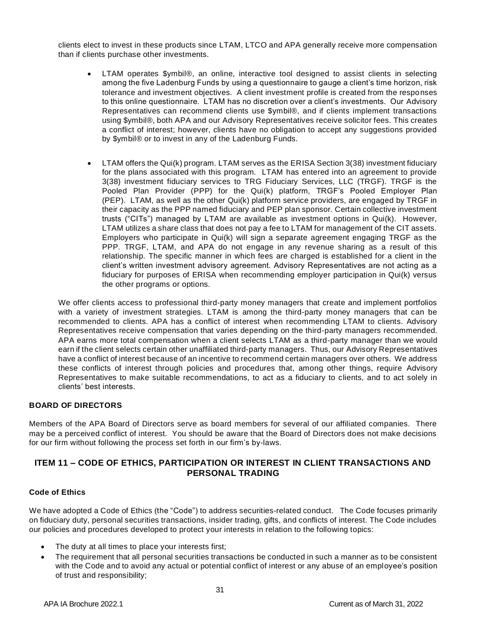clients elect to invest in these products since LTAM, LTCO and APA generally receive more compensation than if clients purchase other investments.

- LTAM operates \$ymbil®, an online, interactive tool designed to assist clients in selecting among the five Ladenburg Funds by using a questionnaire to gauge a client's time horizon, risk tolerance and investment objectives. A client investment profile is created from the responses to this online questionnaire. LTAM has no discretion over a client's investments. Our Advisory Representatives can recommend clients use \$ymbil®, and if clients implement transactions using \$ymbil®, both APA and our Advisory Representatives receive solicitor fees. This creates a conflict of interest; however, clients have no obligation to accept any suggestions provided by \$ymbil® or to invest in any of the Ladenburg Funds.
- LTAM offers the Qui(k) program. LTAM serves as the ERISA Section 3(38) investment fiduciary for the plans associated with this program. LTAM has entered into an agreement to provide 3(38) investment fiduciary services to TRG Fiduciary Services, LLC (TRGF). TRGF is the Pooled Plan Provider (PPP) for the Qui(k) platform, TRGF's Pooled Employer Plan (PEP). LTAM, as well as the other Qui(k) platform service providers, are engaged by TRGF in their capacity as the PPP named fiduciary and PEP plan sponsor. Certain collective investment trusts ("CITs") managed by LTAM are available as investment options in Qui(k). However, LTAM utilizes a share class that does not pay a fee to LTAM for management of the CIT assets. Employers who participate in Qui(k) will sign a separate agreement engaging TRGF as the PPP. TRGF, LTAM, and APA do not engage in any revenue sharing as a result of this relationship. The specific manner in which fees are charged is established for a client in the client's written investment advisory agreement. Advisory Representatives are not acting as a fiduciary for purposes of ERISA when recommending employer participation in Qui(k) versus the other programs or options.

We offer clients access to professional third-party money managers that create and implement portfolios with a variety of investment strategies. LTAM is among the third-party money managers that can be recommended to clients. APA has a conflict of interest when recommending LTAM to clients. Advisory Representatives receive compensation that varies depending on the third-party managers recommended. APA earns more total compensation when a client selects LTAM as a third-party manager than we would earn if the client selects certain other unaffiliated third-party managers. Thus, our Advisory Representatives have a conflict of interest because of an incentive to recommend certain managers over others. We address these conflicts of interest through policies and procedures that, among other things, require Advisory Representatives to make suitable recommendations, to act as a fiduciary to clients, and to act solely in clients' best interests.

## <span id="page-30-0"></span>**BOARD OF DIRECTORS**

Members of the APA Board of Directors serve as board members for several of our affiliated companies. There may be a perceived conflict of interest. You should be aware that the Board of Directors does not make decisions for our firm without following the process set forth in our firm's by-laws.

# <span id="page-30-1"></span>**ITEM 11 – CODE OF ETHICS, PARTICIPATION OR INTEREST IN CLIENT TRANSACTIONS AND PERSONAL TRADING**

## **Code of Ethics**

We have adopted a Code of Ethics (the "Code") to address securities-related conduct. The Code focuses primarily on fiduciary duty, personal securities transactions, insider trading, gifts, and conflicts of interest. The Code includes our policies and procedures developed to protect your interests in relation to the following topics:

- The duty at all times to place your interests first;
- The requirement that all personal securities transactions be conducted in such a manner as to be consistent with the Code and to avoid any actual or potential conflict of interest or any abuse of an employee's position of trust and responsibility;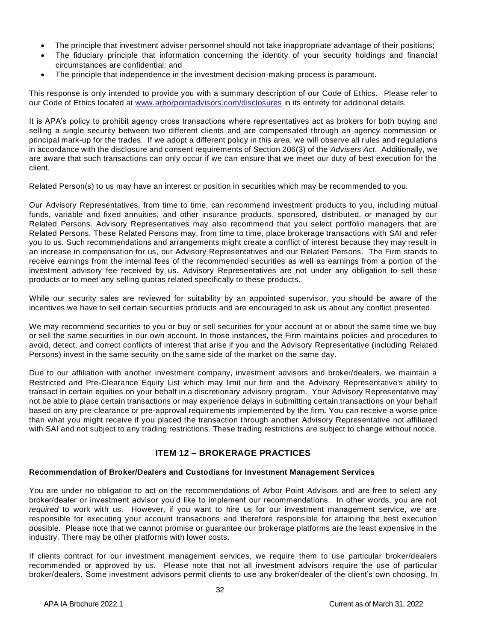- The principle that investment adviser personnel should not take inappropriate advantage of their positions;
- The fiduciary principle that information concerning the identity of your security holdings and financial circumstances are confidential; and
- The principle that independence in the investment decision-making process is paramount.

This response is only intended to provide you with a summary description of our Code of Ethics. Please refer to our Code of Ethics located at [www.arborpointadvisors.com/disclosures](http://www.arborpointadvisors.com/disclosures) in its entirety for additional details.

It is APA's policy to prohibit agency cross transactions where representatives act as brokers for both buying and selling a single security between two different clients and are compensated through an agency commission or principal mark-up for the trades. If we adopt a different policy in this area, we will observe all rules and regulations in accordance with the disclosure and consent requirements of Section 206(3) of the *Advisers Act*. Additionally, we are aware that such transactions can only occur if we can ensure that we meet our duty of best execution for the client.

Related Person(s) to us may have an interest or position in securities which may be recommended to you.

Our Advisory Representatives, from time to time, can recommend investment products to you, including mutual funds, variable and fixed annuities, and other insurance products, sponsored, distributed, or managed by our Related Persons. Advisory Representatives may also recommend that you select portfolio managers that are Related Persons. These Related Persons may, from time to time, place brokerage transactions with SAI and refer you to us. Such recommendations and arrangements might create a conflict of interest because they may result in an increase in compensation for us, our Advisory Representatives and our Related Persons. The Firm stands to receive earnings from the internal fees of the recommended securities as well as earnings from a portion of the investment advisory fee received by us. Advisory Representatives are not under any obligation to sell these products or to meet any selling quotas related specifically to these products.

While our security sales are reviewed for suitability by an appointed supervisor, you should be aware of the incentives we have to sell certain securities products and are encouraged to ask us about any conflict presented.

We may recommend securities to you or buy or sell securities for your account at or about the same time we buy or sell the same securities in our own account. In those instances, the Firm maintains policies and procedures to avoid, detect, and correct conflicts of interest that arise if you and the Advisory Representative (including Related Persons) invest in the same security on the same side of the market on the same day.

Due to our affiliation with another investment company, investment advisors and broker/dealers, we maintain a Restricted and Pre-Clearance Equity List which may limit our firm and the Advisory Representative's ability to transact in certain equities on your behalf in a discretionary advisory program. Your Advisory Representative may not be able to place certain transactions or may experience delays in submitting certain transactions on your behalf based on any pre-clearance or pre-approval requirements implemented by the firm. You can receive a worse price than what you might receive if you placed the transaction through another Advisory Representative not affiliated with SAI and not subject to any trading restrictions. These trading restrictions are subject to change without notice.

# **ITEM 12 – BROKERAGE PRACTICES**

## <span id="page-31-0"></span>**Recommendation of Broker/Dealers and Custodians for Investment Management Services**

You are under no obligation to act on the recommendations of Arbor Point Advisors and are free to select any broker/dealer or investment advisor you'd like to implement our recommendations. In other words, you are not *required* to work with us. However, if you want to hire us for our investment management service, we are responsible for executing your account transactions and therefore responsible for attaining the best execution possible. Please note that we cannot promise or guarantee our brokerage platforms are the least expensive in the industry. There may be other platforms with lower costs.

If clients contract for our investment management services, we require them to use particular broker/dealers recommended or approved by us. Please note that not all investment advisors require the use of particular broker/dealers. Some investment advisors permit clients to use any broker/dealer of the client's own choosing. In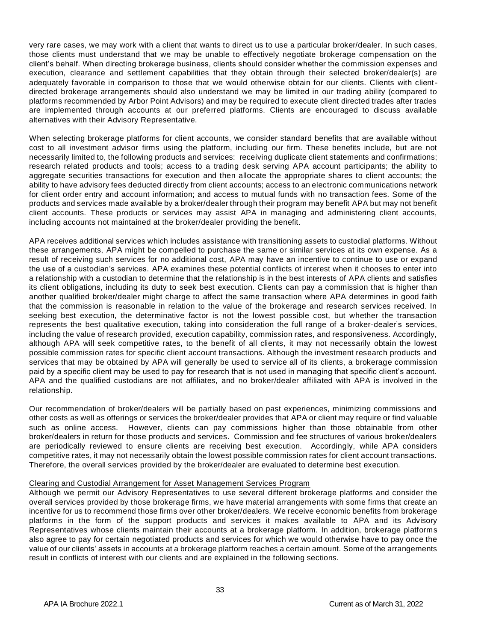very rare cases, we may work with a client that wants to direct us to use a particular broker/dealer. In such cases, those clients must understand that we may be unable to effectively negotiate brokerage compensation on the client's behalf. When directing brokerage business, clients should consider whether the commission expenses and execution, clearance and settlement capabilities that they obtain through their selected broker/dealer(s) are adequately favorable in comparison to those that we would otherwise obtain for our clients. Clients with clientdirected brokerage arrangements should also understand we may be limited in our trading ability (compared to platforms recommended by Arbor Point Advisors) and may be required to execute client directed trades after trades are implemented through accounts at our preferred platforms. Clients are encouraged to discuss available alternatives with their Advisory Representative.

When selecting brokerage platforms for client accounts, we consider standard benefits that are available without cost to all investment advisor firms using the platform, including our firm. These benefits include, but are not necessarily limited to, the following products and services: receiving duplicate client statements and confirmations; research related products and tools; access to a trading desk serving APA account participants; the ability to aggregate securities transactions for execution and then allocate the appropriate shares to client accounts; the ability to have advisory fees deducted directly from client accounts; access to an electronic communications network for client order entry and account information; and access to mutual funds with no transaction fees. Some of the products and services made available by a broker/dealer through their program may benefit APA but may not benefit client accounts. These products or services may assist APA in managing and administering client accounts, including accounts not maintained at the broker/dealer providing the benefit.

APA receives additional services which includes assistance with transitioning assets to custodial platforms. Without these arrangements, APA might be compelled to purchase the same or similar services at its own expense. As a result of receiving such services for no additional cost, APA may have an incentive to continue to use or expand the use of a custodian's services. APA examines these potential conflicts of interest when it chooses to enter into a relationship with a custodian to determine that the relationship is in the best interests of APA clients and satisfies its client obligations, including its duty to seek best execution. Clients can pay a commission that is higher than another qualified broker/dealer might charge to affect the same transaction where APA determines in good faith that the commission is reasonable in relation to the value of the brokerage and research services received. In seeking best execution, the determinative factor is not the lowest possible cost, but whether the transaction represents the best qualitative execution, taking into consideration the full range of a broker-dealer's services, including the value of research provided, execution capability, commission rates, and responsiveness. Accordingly, although APA will seek competitive rates, to the benefit of all clients, it may not necessarily obtain the lowest possible commission rates for specific client account transactions. Although the investment research products and services that may be obtained by APA will generally be used to service all of its clients, a brokerage commission paid by a specific client may be used to pay for research that is not used in managing that specific client's account. APA and the qualified custodians are not affiliates, and no broker/dealer affiliated with APA is involved in the relationship.

Our recommendation of broker/dealers will be partially based on past experiences, minimizing commissions and other costs as well as offerings or services the broker/dealer provides that APA or client may require or find valuable such as online access. However, clients can pay commissions higher than those obtainable from other broker/dealers in return for those products and services. Commission and fee structures of various broker/dealers are periodically reviewed to ensure clients are receiving best execution. Accordingly, while APA considers competitive rates, it may not necessarily obtain the lowest possible commission rates for client account transactions. Therefore, the overall services provided by the broker/dealer are evaluated to determine best execution.

#### Clearing and Custodial Arrangement for Asset Management Services Program

Although we permit our Advisory Representatives to use several different brokerage platforms and consider the overall services provided by those brokerage firms, we have material arrangements with some firms that create an incentive for us to recommend those firms over other broker/dealers. We receive economic benefits from brokerage platforms in the form of the support products and services it makes available to APA and its Advisory Representatives whose clients maintain their accounts at a brokerage platform. In addition, brokerage platforms also agree to pay for certain negotiated products and services for which we would otherwise have to pay once the value of our clients' assets in accounts at a brokerage platform reaches a certain amount. Some of the arrangements result in conflicts of interest with our clients and are explained in the following sections.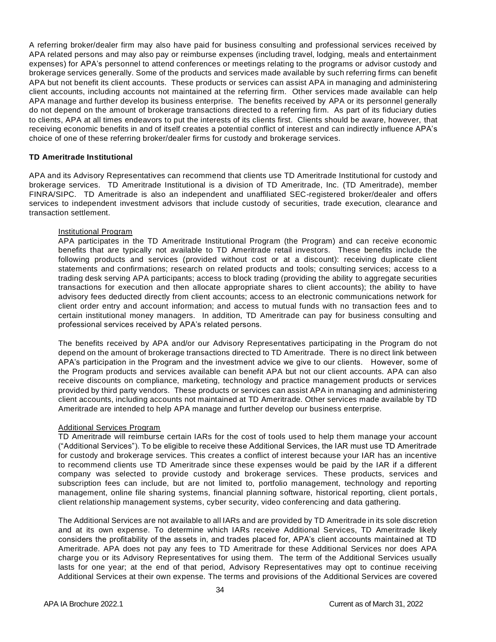A referring broker/dealer firm may also have paid for business consulting and professional services received by APA related persons and may also pay or reimburse expenses (including travel, lodging, meals and entertainment expenses) for APA's personnel to attend conferences or meetings relating to the programs or advisor custody and brokerage services generally. Some of the products and services made available by such referring firms can benefit APA but not benefit its client accounts. These products or services can assist APA in managing and administering client accounts, including accounts not maintained at the referring firm. Other services made available can help APA manage and further develop its business enterprise. The benefits received by APA or its personnel generally do not depend on the amount of brokerage transactions directed to a referring firm. As part of its fiduciary duties to clients, APA at all times endeavors to put the interests of its clients first. Clients should be aware, however, that receiving economic benefits in and of itself creates a potential conflict of interest and can indirectly influence APA's choice of one of these referring broker/dealer firms for custody and brokerage services.

#### **TD Ameritrade Institutional**

APA and its Advisory Representatives can recommend that clients use TD Ameritrade Institutional for custody and brokerage services. TD Ameritrade Institutional is a division of TD Ameritrade, Inc. (TD Ameritrade), member FINRA/SIPC. TD Ameritrade is also an independent and unaffiliated SEC-registered broker/dealer and offers services to independent investment advisors that include custody of securities, trade execution, clearance and transaction settlement.

#### Institutional Program

APA participates in the TD Ameritrade Institutional Program (the Program) and can receive economic benefits that are typically not available to TD Ameritrade retail investors. These benefits include the following products and services (provided without cost or at a discount): receiving duplicate client statements and confirmations; research on related products and tools; consulting services; access to a trading desk serving APA participants; access to block trading (providing the ability to aggregate securities transactions for execution and then allocate appropriate shares to client accounts); the ability to have advisory fees deducted directly from client accounts; access to an electronic communications network for client order entry and account information; and access to mutual funds with no transaction fees and to certain institutional money managers. In addition, TD Ameritrade can pay for business consulting and professional services received by APA's related persons.

The benefits received by APA and/or our Advisory Representatives participating in the Program do not depend on the amount of brokerage transactions directed to TD Ameritrade. There is no direct link between APA's participation in the Program and the investment advice we give to our clients. However, some of the Program products and services available can benefit APA but not our client accounts. APA can also receive discounts on compliance, marketing, technology and practice management products or services provided by third party vendors. These products or services can assist APA in managing and administering client accounts, including accounts not maintained at TD Ameritrade. Other services made available by TD Ameritrade are intended to help APA manage and further develop our business enterprise.

## Additional Services Program

TD Ameritrade will reimburse certain IARs for the cost of tools used to help them manage your account ("Additional Services"). To be eligible to receive these Additional Services, the IAR must use TD Ameritrade for custody and brokerage services. This creates a conflict of interest because your IAR has an incentive to recommend clients use TD Ameritrade since these expenses would be paid by the IAR if a different company was selected to provide custody and brokerage services. These products, services and subscription fees can include, but are not limited to, portfolio management, technology and reporting management, online file sharing systems, financial planning software, historical reporting, client portals, client relationship management systems, cyber security, video conferencing and data gathering.

The Additional Services are not available to all IARs and are provided by TD Ameritrade in its sole discretion and at its own expense. To determine which IARs receive Additional Services, TD Ameritrade likely considers the profitability of the assets in, and trades placed for, APA's client accounts maintained at TD Ameritrade. APA does not pay any fees to TD Ameritrade for these Additional Services nor does APA charge you or its Advisory Representatives for using them. The term of the Additional Services usually lasts for one year; at the end of that period, Advisory Representatives may opt to continue receiving Additional Services at their own expense. The terms and provisions of the Additional Services are covered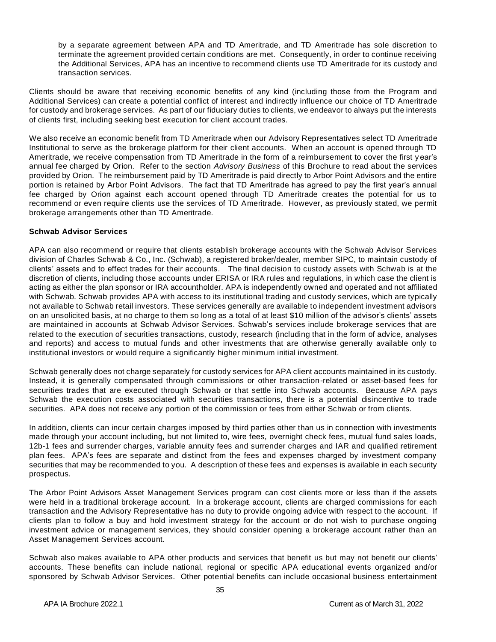by a separate agreement between APA and TD Ameritrade, and TD Ameritrade has sole discretion to terminate the agreement provided certain conditions are met. Consequently, in order to continue receiving the Additional Services, APA has an incentive to recommend clients use TD Ameritrade for its custody and transaction services.

Clients should be aware that receiving economic benefits of any kind (including those from the Program and Additional Services) can create a potential conflict of interest and indirectly influence our choice of TD Ameritrade for custody and brokerage services. As part of our fiduciary duties to clients, we endeavor to always put the interests of clients first, including seeking best execution for client account trades.

We also receive an economic benefit from TD Ameritrade when our Advisory Representatives select TD Ameritrade Institutional to serve as the brokerage platform for their client accounts. When an account is opened through TD Ameritrade, we receive compensation from TD Ameritrade in the form of a reimbursement to cover the first y ear's annual fee charged by Orion. Refer to the section *Advisory Business* of this Brochure to read about the services provided by Orion. The reimbursement paid by TD Ameritrade is paid directly to Arbor Point Advisors and the entire portion is retained by Arbor Point Advisors. The fact that TD Ameritrade has agreed to pay the first year's annual fee charged by Orion against each account opened through TD Ameritrade creates the potential for us to recommend or even require clients use the services of TD Ameritrade. However, as previously stated, we permit brokerage arrangements other than TD Ameritrade.

#### **Schwab Advisor Services**

APA can also recommend or require that clients establish brokerage accounts with the Schwab Advisor Services division of Charles Schwab & Co., Inc. (Schwab), a registered broker/dealer, member SIPC, to maintain custody of clients' assets and to effect trades for their accounts. The final decision to custody assets with Schwab is at the discretion of clients, including those accounts under ERISA or IRA rules and regulations, in which case the client is acting as either the plan sponsor or IRA accountholder. APA is independently owned and operated and not affiliated with Schwab. Schwab provides APA with access to its institutional trading and custody services, which are typically not available to Schwab retail investors. These services generally are available to independent investment advisors on an unsolicited basis, at no charge to them so long as a total of at least \$10 million of the advisor's clients' assets are maintained in accounts at Schwab Advisor Services. Schwab's services include brokerage services that are related to the execution of securities transactions, custody, research (including that in the form of advice, analyses and reports) and access to mutual funds and other investments that are otherwise generally available only to institutional investors or would require a significantly higher minimum initial investment.

Schwab generally does not charge separately for custody services for APA client accounts maintained in its custody. Instead, it is generally compensated through commissions or other transaction-related or asset-based fees for securities trades that are executed through Schwab or that settle into Schwab accounts. Because APA pays Schwab the execution costs associated with securities transactions, there is a potential disincentive to trade securities. APA does not receive any portion of the commission or fees from either Schwab or from clients.

In addition, clients can incur certain charges imposed by third parties other than us in connection with investments made through your account including, but not limited to, wire fees, overnight check fees, mutual fund sales loads, 12b-1 fees and surrender charges, variable annuity fees and surrender charges and IAR and qualified retirement plan fees. APA's fees are separate and distinct from the fees and expenses charged by investment company securities that may be recommended to you. A description of these fees and expenses is available in each security prospectus.

The Arbor Point Advisors Asset Management Services program can cost clients more or less than if the assets were held in a traditional brokerage account. In a brokerage account, clients are charged commissions for each transaction and the Advisory Representative has no duty to provide ongoing advice with respect to the account. If clients plan to follow a buy and hold investment strategy for the account or do not wish to purchase ongoing investment advice or management services, they should consider opening a brokerage account rather than an Asset Management Services account.

Schwab also makes available to APA other products and services that benefit us but may not benefit our clients' accounts. These benefits can include national, regional or specific APA educational events organized and/or sponsored by Schwab Advisor Services. Other potential benefits can include occasional business entertainment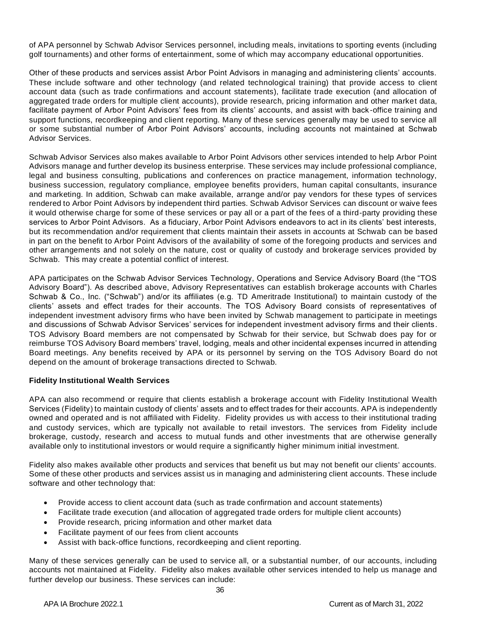of APA personnel by Schwab Advisor Services personnel, including meals, invitations to sporting events (including golf tournaments) and other forms of entertainment, some of which may accompany educational opportunities.

Other of these products and services assist Arbor Point Advisors in managing and administering clients' accounts. These include software and other technology (and related technological training) that provide access to client account data (such as trade confirmations and account statements), facilitate trade execution (and allocation of aggregated trade orders for multiple client accounts), provide research, pricing information and other market data, facilitate payment of Arbor Point Advisors' fees from its clients' accounts, and assist with back -office training and support functions, recordkeeping and client reporting. Many of these services generally may be used to service all or some substantial number of Arbor Point Advisors' accounts, including accounts not maintained at Schwab Advisor Services.

Schwab Advisor Services also makes available to Arbor Point Advisors other services intended to help Arbor Point Advisors manage and further develop its business enterprise. These services may include professional compliance, legal and business consulting, publications and conferences on practice management, information technology, business succession, regulatory compliance, employee benefits providers, human capital consultants, insurance and marketing. In addition, Schwab can make available, arrange and/or pay vendors for these types of services rendered to Arbor Point Advisors by independent third parties. Schwab Advisor Services can discount or waive fees it would otherwise charge for some of these services or pay all or a part of the fees of a third-party providing these services to Arbor Point Advisors. As a fiduciary, Arbor Point Advisors endeavors to act in its clients' best interests, but its recommendation and/or requirement that clients maintain their assets in accounts at Schwab can be based in part on the benefit to Arbor Point Advisors of the availability of some of the foregoing products and services and other arrangements and not solely on the nature, cost or quality of custody and brokerage services provided by Schwab. This may create a potential conflict of interest.

APA participates on the Schwab Advisor Services Technology, Operations and Service Advisory Board (the "TOS Advisory Board"). As described above, Advisory Representatives can establish brokerage accounts with Charles Schwab & Co., Inc. ("Schwab") and/or its affiliates (e.g. TD Ameritrade Institutional) to maintain custody of the clients' assets and effect trades for their accounts. The TOS Advisory Board consists of representatives of independent investment advisory firms who have been invited by Schwab management to participate in meetings and discussions of Schwab Advisor Services' services for independent investment advisory firms and their clients. TOS Advisory Board members are not compensated by Schwab for their service, but Schwab does pay for or reimburse TOS Advisory Board members' travel, lodging, meals and other incidental expenses incurred in attending Board meetings. Any benefits received by APA or its personnel by serving on the TOS Advisory Board do not depend on the amount of brokerage transactions directed to Schwab.

#### **Fidelity Institutional Wealth Services**

APA can also recommend or require that clients establish a brokerage account with Fidelity Institutional Wealth Services (Fidelity) to maintain custody of clients' assets and to effect trades for their accounts. APA is independently owned and operated and is not affiliated with Fidelity. Fidelity provides us with access to their institutional trading and custody services, which are typically not available to retail investors. The services from Fidelity include brokerage, custody, research and access to mutual funds and other investments that are otherwise generally available only to institutional investors or would require a significantly higher minimum initial investment.

Fidelity also makes available other products and services that benefit us but may not benefit our clients' accounts. Some of these other products and services assist us in managing and administering client accounts. These include software and other technology that:

- Provide access to client account data (such as trade confirmation and account statements)
- Facilitate trade execution (and allocation of aggregated trade orders for multiple client accounts)
- Provide research, pricing information and other market data
- Facilitate payment of our fees from client accounts
- Assist with back-office functions, recordkeeping and client reporting.

Many of these services generally can be used to service all, or a substantial number, of our accounts, including accounts not maintained at Fidelity. Fidelity also makes available other services intended to help us manage and further develop our business. These services can include: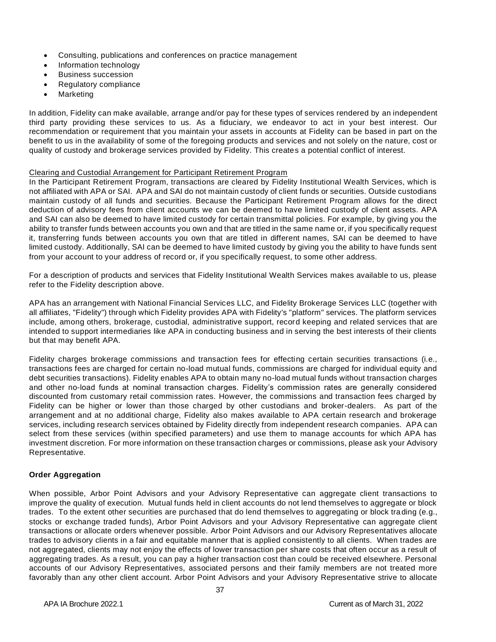- Consulting, publications and conferences on practice management
- Information technology
- Business succession
- Regulatory compliance
- **Marketing**

In addition, Fidelity can make available, arrange and/or pay for these types of services rendered by an independent third party providing these services to us. As a fiduciary, we endeavor to act in your best interest. Our recommendation or requirement that you maintain your assets in accounts at Fidelity can be based in part on the benefit to us in the availability of some of the foregoing products and services and not solely on the nature, cost or quality of custody and brokerage services provided by Fidelity. This creates a potential conflict of interest.

#### Clearing and Custodial Arrangement for Participant Retirement Program

In the Participant Retirement Program, transactions are cleared by Fidelity Institutional Wealth Services, which is not affiliated with APA or SAI. APA and SAI do not maintain custody of client funds or securities. Outside custodians maintain custody of all funds and securities. Because the Participant Retirement Program allows for the direct deduction of advisory fees from client accounts we can be deemed to have limited custody of client assets. APA and SAI can also be deemed to have limited custody for certain transmittal policies. For example, by giving you the ability to transfer funds between accounts you own and that are titled in the same name or, if you specifically request it, transferring funds between accounts you own that are titled in different names, SAI can be deemed to have limited custody. Additionally, SAI can be deemed to have limited custody by giving you the ability to have funds sent from your account to your address of record or, if you specifically request, to some other address.

For a description of products and services that Fidelity Institutional Wealth Services makes available to us, please refer to the Fidelity description above.

APA has an arrangement with National Financial Services LLC, and Fidelity Brokerage Services LLC (together with all affiliates, "Fidelity") through which Fidelity provides APA with Fidelity's "platform" services. The platform services include, among others, brokerage, custodial, administrative support, record keeping and related services that are intended to support intermediaries like APA in conducting business and in serving the best interests of their clients but that may benefit APA.

Fidelity charges brokerage commissions and transaction fees for effecting certain securities transactions (i.e., transactions fees are charged for certain no-load mutual funds, commissions are charged for individual equity and debt securities transactions). Fidelity enables APA to obtain many no-load mutual funds without transaction charges and other no-load funds at nominal transaction charges. Fidelity's commission rates are generally considered discounted from customary retail commission rates. However, the commissions and transaction fees charged by Fidelity can be higher or lower than those charged by other custodians and broker-dealers. As part of the arrangement and at no additional charge, Fidelity also makes available to APA certain research and brokerage services, including research services obtained by Fidelity directly from independent research companies. APA can select from these services (within specified parameters) and use them to manage accounts for which APA has investment discretion. For more information on these transaction charges or commissions, please ask your Advisory Representative.

## **Order Aggregation**

When possible, Arbor Point Advisors and your Advisory Representative can aggregate client transactions to improve the quality of execution. Mutual funds held in client accounts do not lend themselves to aggregate or block trades. To the extent other securities are purchased that do lend themselves to aggregating or block trading (e.g., stocks or exchange traded funds), Arbor Point Advisors and your Advisory Representative can aggregate client transactions or allocate orders whenever possible. Arbor Point Advisors and our Advisory Representatives allocate trades to advisory clients in a fair and equitable manner that is applied consistently to all clients. When trades are not aggregated, clients may not enjoy the effects of lower transaction per share costs that often occur as a result of aggregating trades. As a result, you can pay a higher transaction cost than could be received elsewhere. Personal accounts of our Advisory Representatives, associated persons and their family members are not treated more favorably than any other client account. Arbor Point Advisors and your Advisory Representative strive to allocate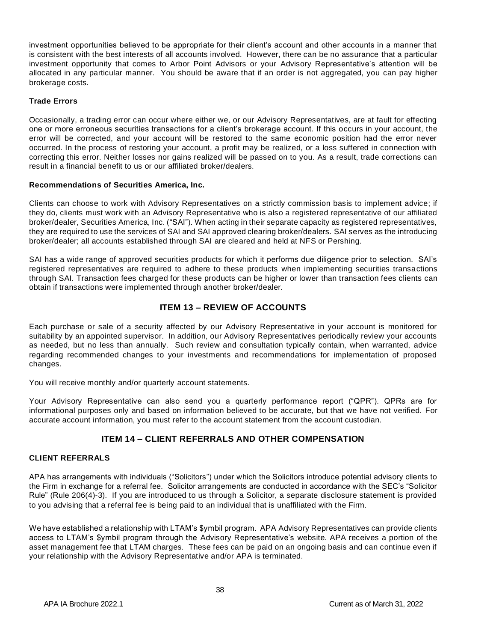investment opportunities believed to be appropriate for their client's account and other accounts in a manner that is consistent with the best interests of all accounts involved. However, there can be no assurance that a particular investment opportunity that comes to Arbor Point Advisors or your Advisory Representative's attention will be allocated in any particular manner. You should be aware that if an order is not aggregated, you can pay higher brokerage costs.

## **Trade Errors**

Occasionally, a trading error can occur where either we, or our Advisory Representatives, are at fault for effecting one or more erroneous securities transactions for a client's brokerage account. If this occurs in your account, the error will be corrected, and your account will be restored to the same economic position had the error never occurred. In the process of restoring your account, a profit may be realized, or a loss suffered in connection with correcting this error. Neither losses nor gains realized will be passed on to you. As a result, trade corrections can result in a financial benefit to us or our affiliated broker/dealers.

## **Recommendations of Securities America, Inc.**

Clients can choose to work with Advisory Representatives on a strictly commission basis to implement advice; if they do, clients must work with an Advisory Representative who is also a registered representative of our affiliated broker/dealer, Securities America, Inc. ("SAI"). When acting in their separate capacity as registered representatives, they are required to use the services of SAI and SAI approved clearing broker/dealers. SAI serves as the introducing broker/dealer; all accounts established through SAI are cleared and held at NFS or Pershing.

SAI has a wide range of approved securities products for which it performs due diligence prior to selection. SAI's registered representatives are required to adhere to these products when implementing securities transactions through SAI. Transaction fees charged for these products can be higher or lower than transaction fees clients can obtain if transactions were implemented through another broker/dealer.

# **ITEM 13 – REVIEW OF ACCOUNTS**

<span id="page-37-0"></span>Each purchase or sale of a security affected by our Advisory Representative in your account is monitored for suitability by an appointed supervisor. In addition, our Advisory Representatives periodically review your accounts as needed, but no less than annually. Such review and consultation typically contain, when warranted, advice regarding recommended changes to your investments and recommendations for implementation of proposed changes.

You will receive monthly and/or quarterly account statements.

Your Advisory Representative can also send you a quarterly performance report ("QPR"). QPRs are for informational purposes only and based on information believed to be accurate, but that we have not verified. For accurate account information, you must refer to the account statement from the account custodian.

# **ITEM 14 – CLIENT REFERRALS AND OTHER COMPENSATION**

## <span id="page-37-2"></span><span id="page-37-1"></span>**CLIENT REFERRALS**

APA has arrangements with individuals ("Solicitors") under which the Solicitors introduce potential advisory clients to the Firm in exchange for a referral fee. Solicitor arrangements are conducted in accordance with the SEC's "Solicitor Rule" (Rule 206(4)-3). If you are introduced to us through a Solicitor, a separate disclosure statement is provided to you advising that a referral fee is being paid to an individual that is unaffiliated with the Firm.

We have established a relationship with LTAM's \$ymbil program. APA Advisory Representatives can provide clients access to LTAM's \$ymbil program through the Advisory Representative's website. APA receives a portion of the asset management fee that LTAM charges. These fees can be paid on an ongoing basis and can continue even if your relationship with the Advisory Representative and/or APA is terminated.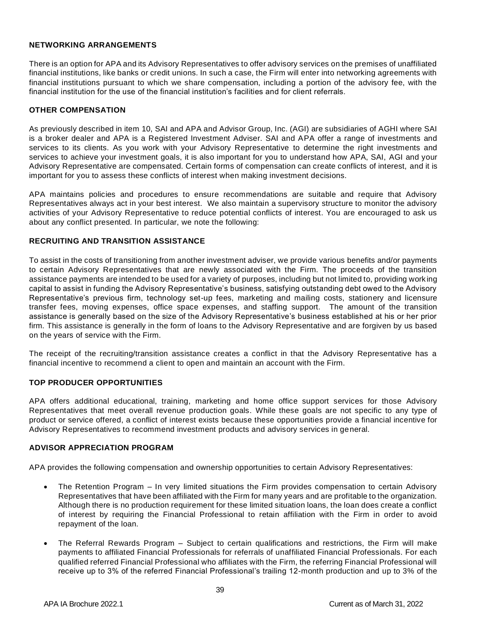#### <span id="page-38-0"></span>**NETWORKING ARRANGEMENTS**

There is an option for APA and its Advisory Representatives to offer advisory services on the premises of unaffiliated financial institutions, like banks or credit unions. In such a case, the Firm will enter into networking agreements with financial institutions pursuant to which we share compensation, including a portion of the advisory fee, with the financial institution for the use of the financial institution's facilities and for client referrals.

#### <span id="page-38-1"></span>**OTHER COMPENSATION**

As previously described in item 10, SAI and APA and Advisor Group, Inc. (AGI) are subsidiaries of AGHI where SAI is a broker dealer and APA is a Registered Investment Adviser. SAI and APA offer a range of investments and services to its clients. As you work with your Advisory Representative to determine the right investments and services to achieve your investment goals, it is also important for you to understand how APA, SAI, AGI and your Advisory Representative are compensated. Certain forms of compensation can create conflicts of interest, and it is important for you to assess these conflicts of interest when making investment decisions.

APA maintains policies and procedures to ensure recommendations are suitable and require that Advisory Representatives always act in your best interest. We also maintain a supervisory structure to monitor the advisory activities of your Advisory Representative to reduce potential conflicts of interest. You are encouraged to ask us about any conflict presented. In particular, we note the following:

## <span id="page-38-2"></span>**RECRUITING AND TRANSITION ASSISTANCE**

To assist in the costs of transitioning from another investment adviser, we provide various benefits and/or payments to certain Advisory Representatives that are newly associated with the Firm. The proceeds of the transition assistance payments are intended to be used for a variety of purposes, including but not limited to, providing work ing capital to assist in funding the Advisory Representative's business, satisfying outstanding debt owed to the Advisory Representative's previous firm, technology set-up fees, marketing and mailing costs, stationery and licensure transfer fees, moving expenses, office space expenses, and staffing support. The amount of the transition assistance is generally based on the size of the Advisory Representative's business established at his or her prior firm. This assistance is generally in the form of loans to the Advisory Representative and are forgiven by us based on the years of service with the Firm.

The receipt of the recruiting/transition assistance creates a conflict in that the Advisory Representative has a financial incentive to recommend a client to open and maintain an account with the Firm.

## <span id="page-38-3"></span>**TOP PRODUCER OPPORTUNITIES**

APA offers additional educational, training, marketing and home office support services for those Advisory Representatives that meet overall revenue production goals. While these goals are not specific to any type of product or service offered, a conflict of interest exists because these opportunities provide a financial incentive for Advisory Representatives to recommend investment products and advisory services in general.

#### <span id="page-38-4"></span>**ADVISOR APPRECIATION PROGRAM**

APA provides the following compensation and ownership opportunities to certain Advisory Representatives:

- The Retention Program In very limited situations the Firm provides compensation to certain Advisory Representatives that have been affiliated with the Firm for many years and are profitable to the organization. Although there is no production requirement for these limited situation loans, the loan does create a conflict of interest by requiring the Financial Professional to retain affiliation with the Firm in order to avoid repayment of the loan.
- The Referral Rewards Program Subject to certain qualifications and restrictions, the Firm will make payments to affiliated Financial Professionals for referrals of unaffiliated Financial Professionals. For each qualified referred Financial Professional who affiliates with the Firm, the referring Financial Professional will receive up to 3% of the referred Financial Professional's trailing 12-month production and up to 3% of the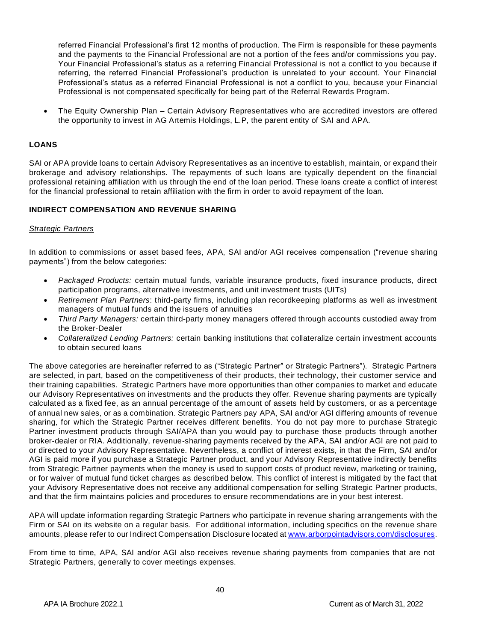referred Financial Professional's first 12 months of production. The Firm is responsible for these payments and the payments to the Financial Professional are not a portion of the fees and/or commissions you pay. Your Financial Professional's status as a referring Financial Professional is not a conflict to you because if referring, the referred Financial Professional's production is unrelated to your account. Your Financial Professional's status as a referred Financial Professional is not a conflict to you, because your Financial Professional is not compensated specifically for being part of the Referral Rewards Program.

• The Equity Ownership Plan – Certain Advisory Representatives who are accredited investors are offered the opportunity to invest in AG Artemis Holdings, L.P, the parent entity of SAI and APA.

## <span id="page-39-0"></span>**LOANS**

SAI or APA provide loans to certain Advisory Representatives as an incentive to establish, maintain, or expand their brokerage and advisory relationships. The repayments of such loans are typically dependent on the financial professional retaining affiliation with us through the end of the loan period. These loans create a conflict of interest for the financial professional to retain affiliation with the firm in order to avoid repayment of the loan.

## <span id="page-39-1"></span>**INDIRECT COMPENSATION AND REVENUE SHARING**

## *Strategic Partners*

In addition to commissions or asset based fees, APA, SAI and/or AGI receives compensation ("revenue sharing payments") from the below categories:

- *Packaged Products:* certain mutual funds, variable insurance products, fixed insurance products, direct participation programs, alternative investments, and unit investment trusts (UITs)
- *Retirement Plan Partners*: third-party firms, including plan recordkeeping platforms as well as investment managers of mutual funds and the issuers of annuities
- *Third Party Managers:* certain third-party money managers offered through accounts custodied away from the Broker-Dealer
- *Collateralized Lending Partners:* certain banking institutions that collateralize certain investment accounts to obtain secured loans

The above categories are hereinafter referred to as ("Strategic Partner" or Strategic Partners"). Strategic Partners are selected, in part, based on the competitiveness of their products, their technology, their customer service and their training capabilities. Strategic Partners have more opportunities than other companies to market and educate our Advisory Representatives on investments and the products they offer. Revenue sharing payments are typically calculated as a fixed fee, as an annual percentage of the amount of assets held by customers, or as a percentage of annual new sales, or as a combination. Strategic Partners pay APA, SAI and/or AGI differing amounts of revenue sharing, for which the Strategic Partner receives different benefits. You do not pay more to purchase Strategic Partner investment products through SAI/APA than you would pay to purchase those products through another broker-dealer or RIA. Additionally, revenue-sharing payments received by the APA, SAI and/or AGI are not paid to or directed to your Advisory Representative. Nevertheless, a conflict of interest exists, in that the Firm, SAI and/or AGI is paid more if you purchase a Strategic Partner product, and your Advisory Representative indirectly benefits from Strategic Partner payments when the money is used to support costs of product review, marketing or training, or for waiver of mutual fund ticket charges as described below. This conflict of interest is mitigated by the fact that your Advisory Representative does not receive any additional compensation for selling Strategic Partner products, and that the firm maintains policies and procedures to ensure recommendations are in your best interest.

APA will update information regarding Strategic Partners who participate in revenue sharing arrangements with the Firm or SAI on its website on a regular basis. For additional information, including specifics on the revenue share amounts, please refer to our Indirect Compensation Disclosure located at [www.arborpointadvisors.com/disclosures.](http://www.arborpointadvisors.com/disclosures)

From time to time, APA, SAI and/or AGI also receives revenue sharing payments from companies that are not Strategic Partners, generally to cover meetings expenses.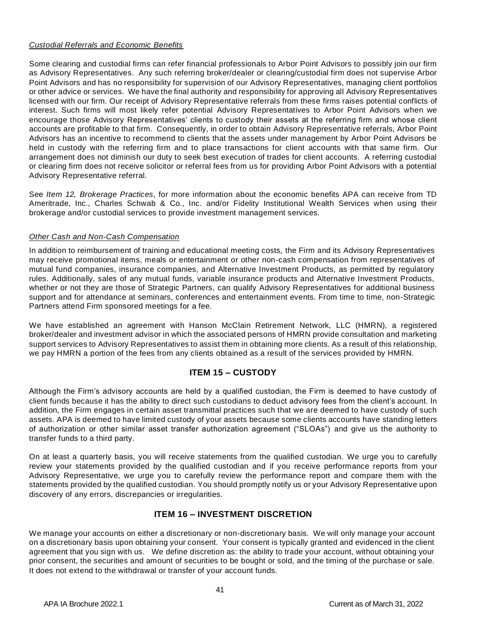## *Custodial Referrals and Economic Benefits*

Some clearing and custodial firms can refer financial professionals to Arbor Point Advisors to possibly join our firm as Advisory Representatives. Any such referring broker/dealer or clearing/custodial firm does not supervise Arbor Point Advisors and has no responsibility for supervision of our Advisory Representatives, managing client portfolios or other advice or services. We have the final authority and responsibility for approving all Advisory Representatives licensed with our firm. Our receipt of Advisory Representative referrals from these firms raises potential conflicts of interest. Such firms will most likely refer potential Advisory Representatives to Arbor Point Advisors when we encourage those Advisory Representatives' clients to custody their assets at the referring firm and whose client accounts are profitable to that firm. Consequently, in order to obtain Advisory Representative referrals, Arbor Point Advisors has an incentive to recommend to clients that the assets under management by Arbor Point Advisors be held in custody with the referring firm and to place transactions for client accounts with that same firm. Our arrangement does not diminish our duty to seek best execution of trades for client accounts. A referring custodial or clearing firm does not receive solicitor or referral fees from us for providing Arbor Point Advisors with a potential Advisory Representative referral.

See *Item 12, Brokerage Practices*, for more information about the economic benefits APA can receive from TD Ameritrade, Inc., Charles Schwab & Co., Inc. and/or Fidelity Institutional Wealth Services when using their brokerage and/or custodial services to provide investment management services.

## *Other Cash and Non-Cash Compensation*

In addition to reimbursement of training and educational meeting costs, the Firm and its Advisory Representatives may receive promotional items, meals or entertainment or other non-cash compensation from representatives of mutual fund companies, insurance companies, and Alternative Investment Products, as permitted by regulatory rules. Additionally, sales of any mutual funds, variable insurance products and Alternative Investment Products, whether or not they are those of Strategic Partners, can qualify Advisory Representatives for additional business support and for attendance at seminars, conferences and entertainment events. From time to time, non-Strategic Partners attend Firm sponsored meetings for a fee.

We have established an agreement with Hanson McClain Retirement Network, LLC (HMRN), a registered broker/dealer and investment advisor in which the associated persons of HMRN provide consultation and marketing support services to Advisory Representatives to assist them in obtaining more clients. As a result of this relationship, we pay HMRN a portion of the fees from any clients obtained as a result of the services provided by HMRN.

# **ITEM 15 – CUSTODY**

<span id="page-40-0"></span>Although the Firm's advisory accounts are held by a qualified custodian, the Firm is deemed to have custody of client funds because it has the ability to direct such custodians to deduct advisory fees from the client's account. In addition, the Firm engages in certain asset transmittal practices such that we are deemed to have custody of such assets. APA is deemed to have limited custody of your assets because some clients accounts have standing letters of authorization or other similar asset transfer authorization agreement ("SLOAs") and give us the authority to transfer funds to a third party.

On at least a quarterly basis, you will receive statements from the qualified custodian. We urge you to carefully review your statements provided by the qualified custodian and if you receive performance reports from your Advisory Representative, we urge you to carefully review the performance report and compare them with the statements provided by the qualified custodian. You should promptly notify us or your Advisory Representative upon discovery of any errors, discrepancies or irregularities.

# **ITEM 16 – INVESTMENT DISCRETION**

<span id="page-40-1"></span>We manage your accounts on either a discretionary or non-discretionary basis. We will only manage your account on a discretionary basis upon obtaining your consent. Your consent is typically granted and evidenced in the client agreement that you sign with us. We define discretion as: the ability to trade your account, without obtaining your prior consent, the securities and amount of securities to be bought or sold, and the timing of the purchase or sale. It does not extend to the withdrawal or transfer of your account funds.